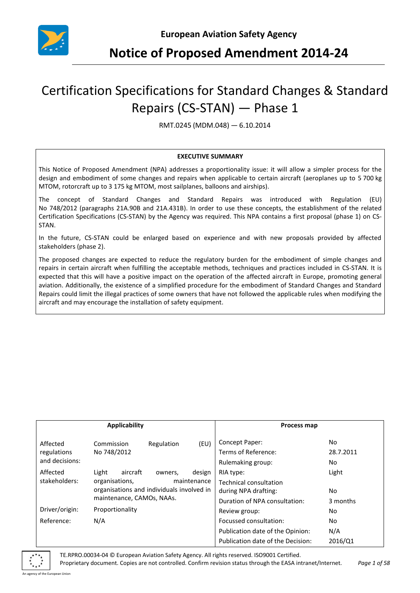

# Certification Specifications for Standard Changes & Standard Repairs (CS-STAN) — Phase 1

RMT.0245 (MDM.048) — 6.10.2014

#### **EXECUTIVE SUMMARY**

This Notice of Proposed Amendment (NPA) addresses a proportionality issue: it will allow a simpler process for the design and embodiment of some changes and repairs when applicable to certain aircraft (aeroplanes up to 5 700 kg MTOM, rotorcraft up to 3 175 kg MTOM, most sailplanes, balloons and airships).

The concept of Standard Changes and Standard Repairs was introduced with Regulation (EU) No 748/2012 (paragraphs 21A.90B and 21A.431B). In order to use these concepts, the establishment of the related Certification Specifications (CS-STAN) by the Agency was required. This NPA contains a first proposal (phase 1) on CS-STAN.

In the future, CS-STAN could be enlarged based on experience and with new proposals provided by affected stakeholders (phase 2).

The proposed changes are expected to reduce the regulatory burden for the embodiment of simple changes and repairs in certain aircraft when fulfilling the acceptable methods, techniques and practices included in CS-STAN. It is expected that this will have a positive impact on the operation of the affected aircraft in Europe, promoting general aviation. Additionally, the existence of a simplified procedure for the embodiment of Standard Changes and Standard Repairs could limit the illegal practices of some owners that have not followed the applicable rules when modifying the aircraft and may encourage the installation of safety equipment.

| <b>Applicability</b>                      |                                                                                                               |            | Process map           |                                                                                                     |                          |
|-------------------------------------------|---------------------------------------------------------------------------------------------------------------|------------|-----------------------|-----------------------------------------------------------------------------------------------------|--------------------------|
| Affected<br>regulations<br>and decisions: | Commission<br>No 748/2012                                                                                     | Regulation | (EU)                  | Concept Paper:<br>Terms of Reference:<br>Rulemaking group:                                          | No.<br>28.7.2011<br>No.  |
| Affected<br>stakeholders:                 | Light<br>aircraft<br>organisations,<br>organisations and individuals involved in<br>maintenance, CAMOs, NAAs. | owners,    | design<br>maintenance | RIA type:<br><b>Technical consultation</b><br>during NPA drafting:<br>Duration of NPA consultation: | Light<br>No.<br>3 months |
| Driver/origin:                            | Proportionality                                                                                               |            |                       | Review group:                                                                                       | No.                      |
| Reference:                                | N/A                                                                                                           |            |                       | Focussed consultation:                                                                              | No.                      |
|                                           |                                                                                                               |            |                       | Publication date of the Opinion:                                                                    | N/A                      |
|                                           |                                                                                                               |            |                       | Publication date of the Decision:                                                                   | 2016/Q1                  |

TE.RPRO.00034-04 © European Aviation Safety Agency. All rights reserved. ISO9001 Certified.

Proprietary document. Copies are not controlled. Confirm revision status through the EASA intranet/Internet. *Page 1 of 58*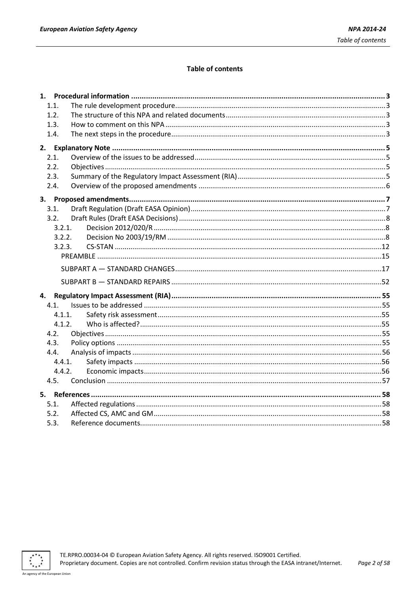# **Table of contents**

| 1.1.   |  |
|--------|--|
| 1.2.   |  |
| 1.3.   |  |
| 1.4.   |  |
|        |  |
| 2.1.   |  |
| 2.2.   |  |
| 2.3.   |  |
| 2.4.   |  |
|        |  |
| 3.1.   |  |
| 3.2.   |  |
| 3.2.1. |  |
| 3.2.2. |  |
| 3.2.3. |  |
|        |  |
|        |  |
|        |  |
| 4.     |  |
| 4.1.   |  |
| 4.1.1. |  |
| 4.1.2. |  |
| 4.2.   |  |
| 4.3.   |  |
| 4.4.   |  |
| 4.4.1. |  |
| 4.4.2. |  |
| 4.5.   |  |
|        |  |
| 5.1.   |  |
| 5.2.   |  |
| 5.3.   |  |

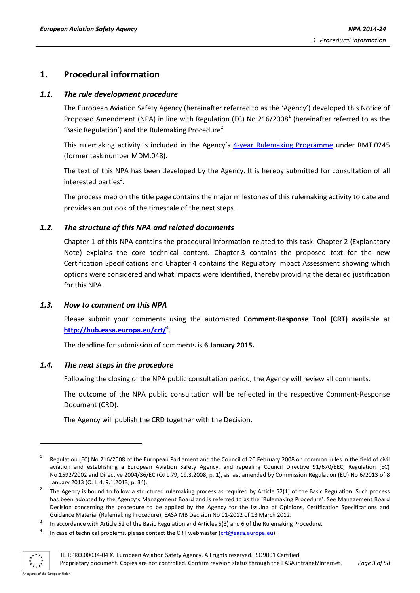# <span id="page-2-0"></span>**1. Procedural information**

# <span id="page-2-1"></span>*1.1. The rule development procedure*

The European Aviation Safety Agency (hereinafter referred to as the 'Agency') developed this Notice of Proposed Amendment (NPA) in line with Regulation (EC) No 216/2008<sup>1</sup> (hereinafter referred to as the 'Basic Regulation') and the Rulemaking Procedure<sup>2</sup>.

This rulemaking activity is included in the Agency's [4-year Rulemaking Programme](http://easa.europa.eu/rulemaking/annual-programme-and-planning.php) under RMT.0245 (former task number MDM.048).

The text of this NPA has been developed by the Agency. It is hereby submitted for consultation of all interested parties<sup>3</sup>.

The process map on the title page contains the major milestones of this rulemaking activity to date and provides an outlook of the timescale of the next steps.

# <span id="page-2-2"></span>*1.2. The structure of this NPA and related documents*

Chapter 1 of this NPA contains the procedural information related to this task. Chapter 2 (Explanatory Note) explains the core technical content. Chapter 3 contains the proposed text for the new Certification Specifications and Chapter 4 contains the Regulatory Impact Assessment showing which options were considered and what impacts were identified, thereby providing the detailed justification for this NPA.

#### <span id="page-2-3"></span>*1.3. How to comment on this NPA*

Please submit your comments using the automated **Comment-Response Tool (CRT)** available at **<http://hub.easa.europa.eu/crt/>**<sup>4</sup> .

The deadline for submission of comments is **6 January 2015.**

# <span id="page-2-4"></span>*1.4. The next steps in the procedure*

Following the closing of the NPA public consultation period, the Agency will review all comments.

The outcome of the NPA public consultation will be reflected in the respective Comment-Response Document (CRD).

The Agency will publish the CRD together with the Decision.

<sup>4</sup> In case of technical problems, please contact the CRT webmaster [\(crt@easa.europa.eu\)](mailto:crt@easa.europa.eu).



-

<sup>1</sup> Regulation (EC) No 216/2008 of the European Parliament and the Council of 20 February 2008 on common rules in the field of civil aviation and establishing a European Aviation Safety Agency, and repealing Council Directive 91/670/EEC, Regulation (EC) No 1592/2002 and Directive 2004/36/EC (OJ L 79, 19.3.2008, p. 1), as last amended by Commission Regulation (EU) No 6/2013 of 8 January 2013 (OJ L 4, 9.1.2013, p. 34).

<sup>2</sup> The Agency is bound to follow a structured rulemaking process as required by Article 52(1) of the Basic Regulation. Such process has been adopted by the Agency's Management Board and is referred to as the 'Rulemaking Procedure'. See Management Board Decision concerning the procedure to be applied by the Agency for the issuing of Opinions, Certification Specifications and Guidance Material (Rulemaking Procedure), EASA MB Decision No 01-2012 of 13 March 2012.

<sup>3</sup> In accordance with Article 52 of the Basic Regulation and Articles 5(3) and 6 of the Rulemaking Procedure.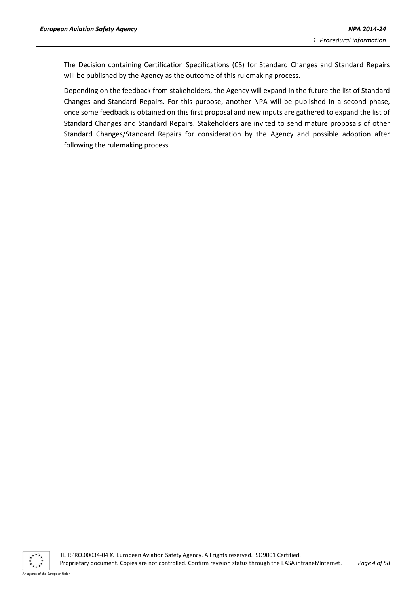The Decision containing Certification Specifications (CS) for Standard Changes and Standard Repairs will be published by the Agency as the outcome of this rulemaking process.

Depending on the feedback from stakeholders, the Agency will expand in the future the list of Standard Changes and Standard Repairs. For this purpose, another NPA will be published in a second phase, once some feedback is obtained on this first proposal and new inputs are gathered to expand the list of Standard Changes and Standard Repairs. Stakeholders are invited to send mature proposals of other Standard Changes/Standard Repairs for consideration by the Agency and possible adoption after following the rulemaking process.

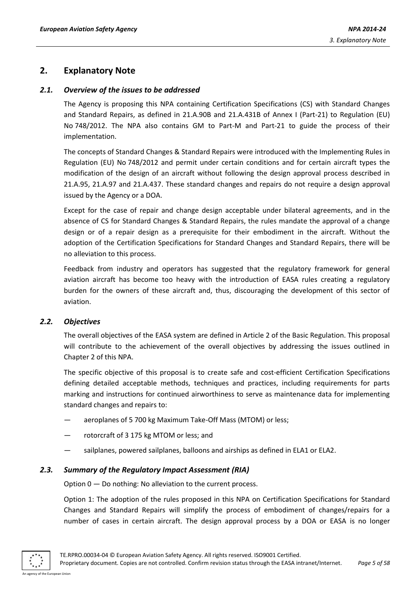# <span id="page-4-0"></span>**2. Explanatory Note**

# <span id="page-4-1"></span>*2.1. Overview of the issues to be addressed*

The Agency is proposing this NPA containing Certification Specifications (CS) with Standard Changes and Standard Repairs, as defined in 21.A.90B and 21.A.431B of Annex I (Part-21) to Regulation (EU) No 748/2012. The NPA also contains GM to Part-M and Part-21 to guide the process of their implementation.

The concepts of Standard Changes & Standard Repairs were introduced with the Implementing Rules in Regulation (EU) No 748/2012 and permit under certain conditions and for certain aircraft types the modification of the design of an aircraft without following the design approval process described in 21.A.95, 21.A.97 and 21.A.437. These standard changes and repairs do not require a design approval issued by the Agency or a DOA.

Except for the case of repair and change design acceptable under bilateral agreements, and in the absence of CS for Standard Changes & Standard Repairs, the rules mandate the approval of a change design or of a repair design as a prerequisite for their embodiment in the aircraft. Without the adoption of the Certification Specifications for Standard Changes and Standard Repairs, there will be no alleviation to this process.

Feedback from industry and operators has suggested that the regulatory framework for general aviation aircraft has become too heavy with the introduction of EASA rules creating a regulatory burden for the owners of these aircraft and, thus, discouraging the development of this sector of aviation.

# <span id="page-4-2"></span>*2.2. Objectives*

The overall objectives of the EASA system are defined in Article 2 of the Basic Regulation. This proposal will contribute to the achievement of the overall objectives by addressing the issues outlined in Chapter 2 of this NPA.

The specific objective of this proposal is to create safe and cost-efficient Certification Specifications defining detailed acceptable methods, techniques and practices, including requirements for parts marking and instructions for continued airworthiness to serve as maintenance data for implementing standard changes and repairs to:

- aeroplanes of 5 700 kg Maximum Take-Off Mass (MTOM) or less;
- rotorcraft of 3 175 kg MTOM or less; and
- sailplanes, powered sailplanes, balloons and airships as defined in ELA1 or ELA2.

# <span id="page-4-3"></span>*2.3. Summary of the Regulatory Impact Assessment (RIA)*

Option 0 — Do nothing: No alleviation to the current process.

Option 1: The adoption of the rules proposed in this NPA on Certification Specifications for Standard Changes and Standard Repairs will simplify the process of embodiment of changes/repairs for a number of cases in certain aircraft. The design approval process by a DOA or EASA is no longer

An agency of the European Union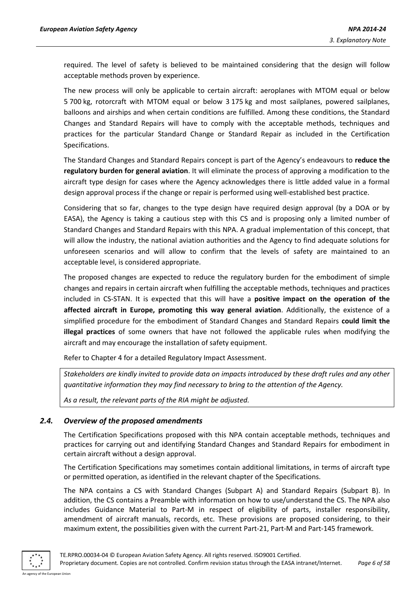required. The level of safety is believed to be maintained considering that the design will follow acceptable methods proven by experience.

The new process will only be applicable to certain aircraft: aeroplanes with MTOM equal or below 5 700 kg, rotorcraft with MTOM equal or below 3 175 kg and most sailplanes, powered sailplanes, balloons and airships and when certain conditions are fulfilled. Among these conditions, the Standard Changes and Standard Repairs will have to comply with the acceptable methods, techniques and practices for the particular Standard Change or Standard Repair as included in the Certification Specifications.

The Standard Changes and Standard Repairs concept is part of the Agency's endeavours to **reduce the regulatory burden for general aviation**. It will eliminate the process of approving a modification to the aircraft type design for cases where the Agency acknowledges there is little added value in a formal design approval process if the change or repair is performed using well-established best practice.

Considering that so far, changes to the type design have required design approval (by a DOA or by EASA), the Agency is taking a cautious step with this CS and is proposing only a limited number of Standard Changes and Standard Repairs with this NPA. A gradual implementation of this concept, that will allow the industry, the national aviation authorities and the Agency to find adequate solutions for unforeseen scenarios and will allow to confirm that the levels of safety are maintained to an acceptable level, is considered appropriate.

The proposed changes are expected to reduce the regulatory burden for the embodiment of simple changes and repairs in certain aircraft when fulfilling the acceptable methods, techniques and practices included in CS-STAN. It is expected that this will have a **positive impact on the operation of the affected aircraft in Europe, promoting this way general aviation**. Additionally, the existence of a simplified procedure for the embodiment of Standard Changes and Standard Repairs **could limit the illegal practices** of some owners that have not followed the applicable rules when modifying the aircraft and may encourage the installation of safety equipment.

Refer to Chapter 4 for a detailed Regulatory Impact Assessment.

*Stakeholders are kindly invited to provide data on impacts introduced by these draft rules and any other quantitative information they may find necessary to bring to the attention of the Agency.*

*As a result, the relevant parts of the RIA might be adjusted.*

# <span id="page-5-0"></span>*2.4. Overview of the proposed amendments*

The Certification Specifications proposed with this NPA contain acceptable methods, techniques and practices for carrying out and identifying Standard Changes and Standard Repairs for embodiment in certain aircraft without a design approval.

The Certification Specifications may sometimes contain additional limitations, in terms of aircraft type or permitted operation, as identified in the relevant chapter of the Specifications.

The NPA contains a CS with Standard Changes (Subpart A) and Standard Repairs (Subpart B). In addition, the CS contains a Preamble with information on how to use/understand the CS. The NPA also includes Guidance Material to Part-M in respect of eligibility of parts, installer responsibility, amendment of aircraft manuals, records, etc. These provisions are proposed considering, to their maximum extent, the possibilities given with the current Part-21, Part-M and Part-145 framework.

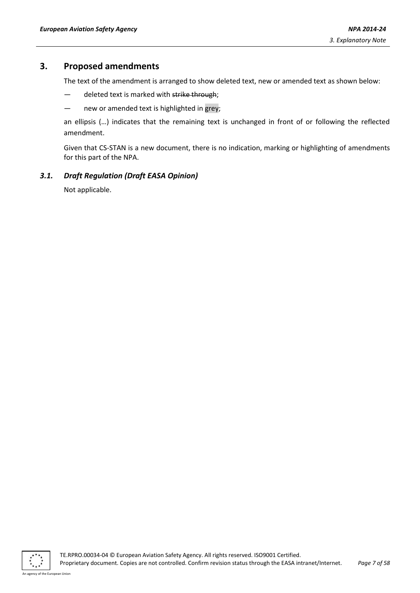# <span id="page-6-0"></span>**3. Proposed amendments**

The text of the amendment is arranged to show deleted text, new or amended text as shown below:

- deleted text is marked with strike through;
- new or amended text is highlighted in grey;

an ellipsis (…) indicates that the remaining text is unchanged in front of or following the reflected amendment.

Given that CS-STAN is a new document, there is no indication, marking or highlighting of amendments for this part of the NPA.

# <span id="page-6-1"></span>*3.1. Draft Regulation (Draft EASA Opinion)*

Not applicable.



An agency of the European Union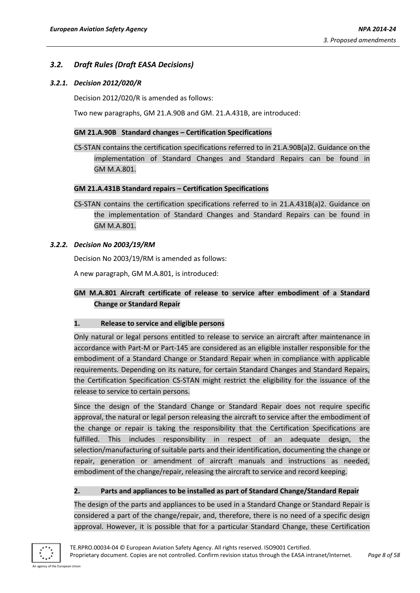# <span id="page-7-0"></span>*3.2. Draft Rules (Draft EASA Decisions)*

#### <span id="page-7-1"></span>*3.2.1. Decision 2012/020/R*

Decision 2012/020/R is amended as follows:

Two new paragraphs, GM 21.A.90B and GM. 21.A.431B, are introduced:

#### **GM 21.A.90B Standard changes – Certification Specifications**

CS-STAN contains the certification specifications referred to in 21.A.90B(a)2. Guidance on the implementation of Standard Changes and Standard Repairs can be found in GM M.A.801.

#### **GM 21.A.431B Standard repairs – Certification Specifications**

CS-STAN contains the certification specifications referred to in 21.A.431B(a)2. Guidance on the implementation of Standard Changes and Standard Repairs can be found in GM M.A.801.

#### <span id="page-7-2"></span>*3.2.2. Decision No 2003/19/RM*

Decision No 2003/19/RM is amended as follows:

A new paragraph, GM M.A.801, is introduced:

# **GM M.A.801 Aircraft certificate of release to service after embodiment of a Standard Change or Standard Repair**

#### **1. Release to service and eligible persons**

Only natural or legal persons entitled to release to service an aircraft after maintenance in accordance with Part-M or Part-145 are considered as an eligible installer responsible for the embodiment of a Standard Change or Standard Repair when in compliance with applicable requirements. Depending on its nature, for certain Standard Changes and Standard Repairs, the Certification Specification CS-STAN might restrict the eligibility for the issuance of the release to service to certain persons.

Since the design of the Standard Change or Standard Repair does not require specific approval, the natural or legal person releasing the aircraft to service after the embodiment of the change or repair is taking the responsibility that the Certification Specifications are fulfilled. This includes responsibility in respect of an adequate design, the selection/manufacturing of suitable parts and their identification, documenting the change or repair, generation or amendment of aircraft manuals and instructions as needed, embodiment of the change/repair, releasing the aircraft to service and record keeping.

#### **2. Parts and appliances to be installed as part of Standard Change/Standard Repair**

The design of the parts and appliances to be used in a Standard Change or Standard Repair is considered a part of the change/repair, and, therefore, there is no need of a specific design approval. However, it is possible that for a particular Standard Change, these Certification

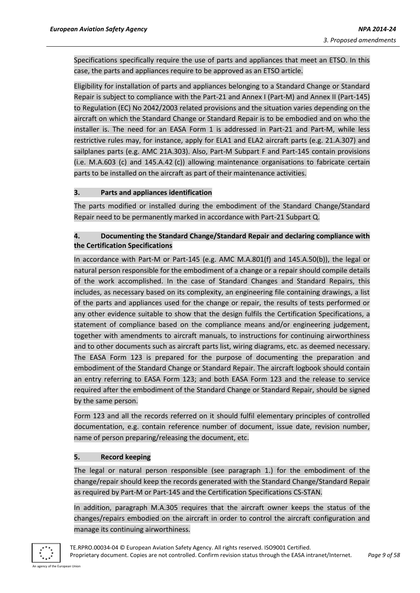Specifications specifically require the use of parts and appliances that meet an ETSO. In this case, the parts and appliances require to be approved as an ETSO article.

Eligibility for installation of parts and appliances belonging to a Standard Change or Standard Repair is subject to compliance with the Part-21 and Annex I (Part-M) and Annex II (Part-145) to Regulation (EC) No 2042/2003 related provisions and the situation varies depending on the aircraft on which the Standard Change or Standard Repair is to be embodied and on who the installer is. The need for an EASA Form 1 is addressed in Part-21 and Part-M, while less restrictive rules may, for instance, apply for ELA1 and ELA2 aircraft parts (e.g. 21.A.307) and sailplanes parts (e.g. AMC 21A.303). Also, Part-M Subpart F and Part-145 contain provisions (i.e. M.A.603 (c) and 145.A.42 (c)) allowing maintenance organisations to fabricate certain parts to be installed on the aircraft as part of their maintenance activities.

#### **3. Parts and appliances identification**

The parts modified or installed during the embodiment of the Standard Change/Standard Repair need to be permanently marked in accordance with Part-21 Subpart Q.

# **4. Documenting the Standard Change/Standard Repair and declaring compliance with the Certification Specifications**

In accordance with Part-M or Part-145 (e.g. AMC M.A.801(f) and 145.A.50(b)), the legal or natural person responsible for the embodiment of a change or a repair should compile details of the work accomplished. In the case of Standard Changes and Standard Repairs, this includes, as necessary based on its complexity, an engineering file containing drawings, a list of the parts and appliances used for the change or repair, the results of tests performed or any other evidence suitable to show that the design fulfils the Certification Specifications, a statement of compliance based on the compliance means and/or engineering judgement, together with amendments to aircraft manuals, to instructions for continuing airworthiness and to other documents such as aircraft parts list, wiring diagrams, etc. as deemed necessary. The EASA Form 123 is prepared for the purpose of documenting the preparation and embodiment of the Standard Change or Standard Repair. The aircraft logbook should contain an entry referring to EASA Form 123; and both EASA Form 123 and the release to service required after the embodiment of the Standard Change or Standard Repair, should be signed by the same person.

Form 123 and all the records referred on it should fulfil elementary principles of controlled documentation, e.g. contain reference number of document, issue date, revision number, name of person preparing/releasing the document, etc.

#### **5. Record keeping**

The legal or natural person responsible (see paragraph 1.) for the embodiment of the change/repair should keep the records generated with the Standard Change/Standard Repair as required by Part-M or Part-145 and the Certification Specifications CS-STAN.

In addition, paragraph M.A.305 requires that the aircraft owner keeps the status of the changes/repairs embodied on the aircraft in order to control the aircraft configuration and manage its continuing airworthiness.

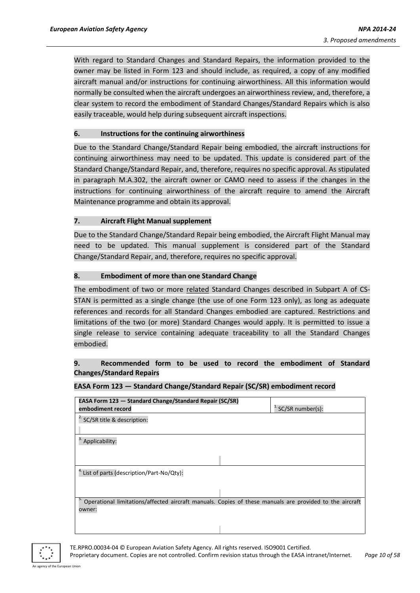With regard to Standard Changes and Standard Repairs, the information provided to the owner may be listed in Form 123 and should include, as required, a copy of any modified aircraft manual and/or instructions for continuing airworthiness. All this information would normally be consulted when the aircraft undergoes an airworthiness review, and, therefore, a clear system to record the embodiment of Standard Changes/Standard Repairs which is also easily traceable, would help during subsequent aircraft inspections.

### **6. Instructions for the continuing airworthiness**

Due to the Standard Change/Standard Repair being embodied, the aircraft instructions for continuing airworthiness may need to be updated. This update is considered part of the Standard Change/Standard Repair, and, therefore, requires no specific approval. As stipulated in paragraph M.A.302, the aircraft owner or CAMO need to assess if the changes in the instructions for continuing airworthiness of the aircraft require to amend the Aircraft Maintenance programme and obtain its approval.

# **7. Aircraft Flight Manual supplement**

Due to the Standard Change/Standard Repair being embodied, the Aircraft Flight Manual may need to be updated. This manual supplement is considered part of the Standard Change/Standard Repair, and, therefore, requires no specific approval.

# **8. Embodiment of more than one Standard Change**

The embodiment of two or more related Standard Changes described in Subpart A of CS-STAN is permitted as a single change (the use of one Form 123 only), as long as adequate references and records for all Standard Changes embodied are captured. Restrictions and limitations of the two (or more) Standard Changes would apply. It is permitted to issue a single release to service containing adequate traceability to all the Standard Changes embodied.

# **9. Recommended form to be used to record the embodiment of Standard Changes/Standard Repairs**

#### **EASA Form 123 — Standard Change/Standard Repair (SC/SR) embodiment record**

| EASA Form 123 – Standard Change/Standard Repair (SC/SR) |                                                                                                         |
|---------------------------------------------------------|---------------------------------------------------------------------------------------------------------|
| embodiment record                                       | $\frac{1}{1}$ SC/SR number(s):                                                                          |
| <sup>2.</sup> SC/SR title & description:                |                                                                                                         |
|                                                         |                                                                                                         |
| Applicability:                                          |                                                                                                         |
|                                                         |                                                                                                         |
|                                                         |                                                                                                         |
| <sup>4.</sup> List of parts (description/Part-No/Qty):  |                                                                                                         |
|                                                         |                                                                                                         |
|                                                         |                                                                                                         |
|                                                         | Operational limitations/affected aircraft manuals. Copies of these manuals are provided to the aircraft |
| owner:                                                  |                                                                                                         |
|                                                         |                                                                                                         |
|                                                         |                                                                                                         |



TE.RPRO.00034-04 © European Aviation Safety Agency. All rights reserved. ISO9001 Certified.

Proprietary document. Copies are not controlled. Confirm revision status through the EASA intranet/Internet. *Page 10 of 58*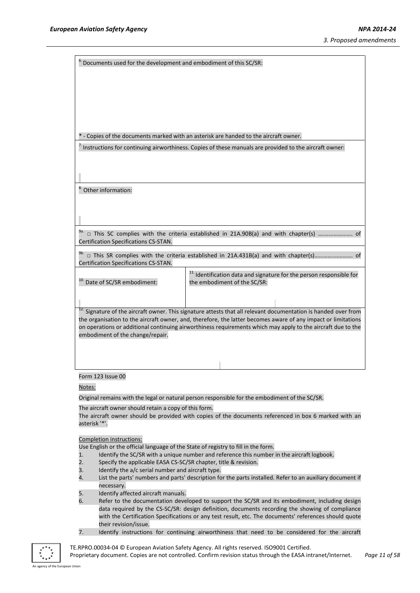| Documents used for the development and embodiment of this SC/SR:                                                                                                                 |                                                                                                                                                                                                                                             |  |  |
|----------------------------------------------------------------------------------------------------------------------------------------------------------------------------------|---------------------------------------------------------------------------------------------------------------------------------------------------------------------------------------------------------------------------------------------|--|--|
|                                                                                                                                                                                  |                                                                                                                                                                                                                                             |  |  |
|                                                                                                                                                                                  |                                                                                                                                                                                                                                             |  |  |
|                                                                                                                                                                                  |                                                                                                                                                                                                                                             |  |  |
|                                                                                                                                                                                  |                                                                                                                                                                                                                                             |  |  |
|                                                                                                                                                                                  |                                                                                                                                                                                                                                             |  |  |
|                                                                                                                                                                                  | * - Copies of the documents marked with an asterisk are handed to the aircraft owner.                                                                                                                                                       |  |  |
| $'$ Instructions for continuing airworthiness. Copies of these manuals are provided to the aircraft owner:                                                                       |                                                                                                                                                                                                                                             |  |  |
|                                                                                                                                                                                  |                                                                                                                                                                                                                                             |  |  |
|                                                                                                                                                                                  |                                                                                                                                                                                                                                             |  |  |
|                                                                                                                                                                                  |                                                                                                                                                                                                                                             |  |  |
| Other information:                                                                                                                                                               |                                                                                                                                                                                                                                             |  |  |
|                                                                                                                                                                                  |                                                                                                                                                                                                                                             |  |  |
|                                                                                                                                                                                  |                                                                                                                                                                                                                                             |  |  |
|                                                                                                                                                                                  |                                                                                                                                                                                                                                             |  |  |
| Certification Specifications CS-STAN.                                                                                                                                            |                                                                                                                                                                                                                                             |  |  |
| 9b.                                                                                                                                                                              |                                                                                                                                                                                                                                             |  |  |
| Certification Specifications CS-STAN.                                                                                                                                            |                                                                                                                                                                                                                                             |  |  |
| Date of SC/SR embodiment:                                                                                                                                                        | <sup>11.</sup> Identification data and signature for the person responsible for<br>the embodiment of the SC/SR:                                                                                                                             |  |  |
|                                                                                                                                                                                  |                                                                                                                                                                                                                                             |  |  |
|                                                                                                                                                                                  |                                                                                                                                                                                                                                             |  |  |
|                                                                                                                                                                                  | <sup>12.</sup> Signature of the aircraft owner. This signature attests that all relevant documentation is handed over from<br>the organisation to the aircraft owner, and, therefore, the latter becomes aware of any impact or limitations |  |  |
|                                                                                                                                                                                  | on operations or additional continuing airworthiness requirements which may apply to the aircraft due to the                                                                                                                                |  |  |
| embodiment of the change/repair.                                                                                                                                                 |                                                                                                                                                                                                                                             |  |  |
|                                                                                                                                                                                  |                                                                                                                                                                                                                                             |  |  |
|                                                                                                                                                                                  |                                                                                                                                                                                                                                             |  |  |
| Form 123 Issue 00                                                                                                                                                                |                                                                                                                                                                                                                                             |  |  |
| Notes:                                                                                                                                                                           |                                                                                                                                                                                                                                             |  |  |
| Original remains with the legal or natural person responsible for the embodiment of the SC/SR.                                                                                   |                                                                                                                                                                                                                                             |  |  |
| The aircraft owner should retain a copy of this form.                                                                                                                            |                                                                                                                                                                                                                                             |  |  |
| The aircraft owner should be provided with copies of the documents referenced in box 6 marked with an<br>asterisk '*'.                                                           |                                                                                                                                                                                                                                             |  |  |
| Completion instructions:                                                                                                                                                         |                                                                                                                                                                                                                                             |  |  |
| Use English or the official language of the State of registry to fill in the form.<br>Identify the SC/SR with a unique number and reference this number in the aircraft logbook. |                                                                                                                                                                                                                                             |  |  |
| 1.                                                                                                                                                                               |                                                                                                                                                                                                                                             |  |  |

- 2. Specify the applicable EASA CS-SC/SR chapter, title & revision.
- 3. Identify the a/c serial number and aircraft type.
- 4. List the parts' numbers and parts' description for the parts installed. Refer to an auxiliary document if necessary.
- 5. Identify affected aircraft manuals.
- 6. Refer to the documentation developed to support the SC/SR and its embodiment, including design data required by the CS-SC/SR: design definition, documents recording the showing of compliance with the Certification Specifications or any test result, etc. The documents' references should quote their revision/issue.
- 7. Identify instructions for continuing airworthiness that need to be considered for the aircraft



TE.RPRO.00034-04 © European Aviation Safety Agency. All rights reserved. ISO9001 Certified.

Proprietary document. Copies are not controlled. Confirm revision status through the EASA intranet/Internet. *Page 11 of 58*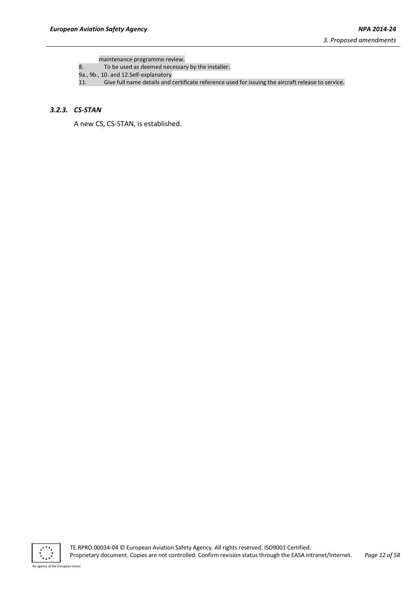maintenance programme review.

- 8. To be used as deemed necessary by the installer.
- 9a., 9b., 10. and 12.Self-explanatory<br>11. Give full name details and
- Give full name details and certificate reference used for issuing the aircraft release to service.

# <span id="page-11-0"></span>*3.2.3. CS-STAN*

A new CS, CS-STAN, is established.

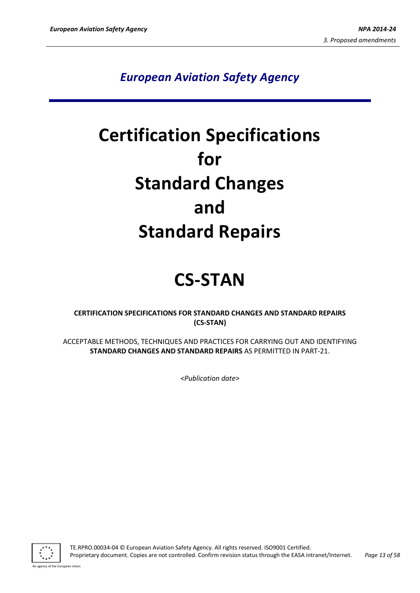# **Certification Specifications for Standard Changes and Standard Repairs**

# **CS-STAN**

# **CERTIFICATION SPECIFICATIONS FOR STANDARD CHANGES AND STANDARD REPAIRS (CS-STAN)**

ACCEPTABLE METHODS, TECHNIQUES AND PRACTICES FOR CARRYING OUT AND IDENTIFYING **STANDARD CHANGES AND STANDARD REPAIRS** AS PERMITTED IN PART-21.

*<Publication date>*



TE.RPRO.00034-04 © European Aviation Safety Agency. All rights reserved. ISO9001 Certified. Proprietary document. Copies are not controlled. Confirm revision status through the EASA intranet/Internet. *Page 13 of 58*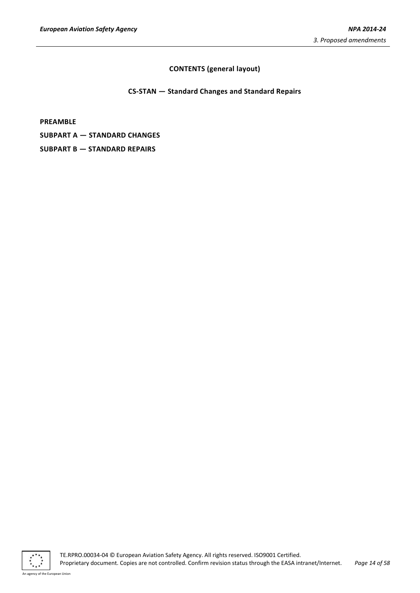# **CONTENTS (general layout)**

# **CS-STAN — Standard Changes and Standard Repairs**

**PREAMBLE**

**SUBPART A — STANDARD CHANGES**

**SUBPART B — STANDARD REPAIRS** 



TE.RPRO.00034-04 © European Aviation Safety Agency. All rights reserved. ISO9001 Certified. Proprietary document. Copies are not controlled. Confirm revision status through the EASA intranet/Internet. *Page 14 of 58*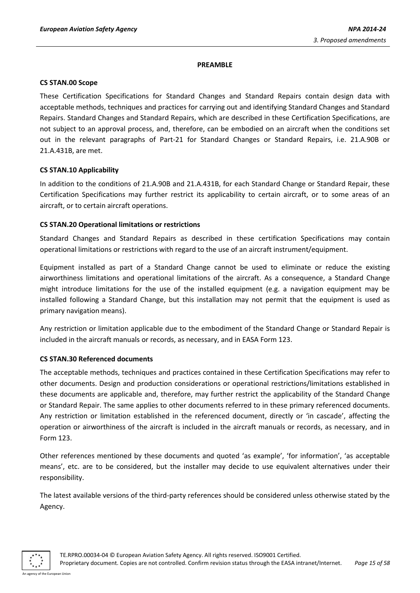#### **PREAMBLE**

#### <span id="page-14-0"></span>**CS STAN.00 Scope**

These Certification Specifications for Standard Changes and Standard Repairs contain design data with acceptable methods, techniques and practices for carrying out and identifying Standard Changes and Standard Repairs. Standard Changes and Standard Repairs, which are described in these Certification Specifications, are not subject to an approval process, and, therefore, can be embodied on an aircraft when the conditions set out in the relevant paragraphs of Part-21 for Standard Changes or Standard Repairs, i.e. 21.A.90B or 21.A.431B, are met.

# **CS STAN.10 Applicability**

In addition to the conditions of 21.A.90B and 21.A.431B, for each Standard Change or Standard Repair, these Certification Specifications may further restrict its applicability to certain aircraft, or to some areas of an aircraft, or to certain aircraft operations.

# **CS STAN.20 Operational limitations or restrictions**

Standard Changes and Standard Repairs as described in these certification Specifications may contain operational limitations or restrictions with regard to the use of an aircraft instrument/equipment.

Equipment installed as part of a Standard Change cannot be used to eliminate or reduce the existing airworthiness limitations and operational limitations of the aircraft. As a consequence, a Standard Change might introduce limitations for the use of the installed equipment (e.g. a navigation equipment may be installed following a Standard Change, but this installation may not permit that the equipment is used as primary navigation means).

Any restriction or limitation applicable due to the embodiment of the Standard Change or Standard Repair is included in the aircraft manuals or records, as necessary, and in EASA Form 123.

#### **CS STAN.30 Referenced documents**

The acceptable methods, techniques and practices contained in these Certification Specifications may refer to other documents. Design and production considerations or operational restrictions/limitations established in these documents are applicable and, therefore, may further restrict the applicability of the Standard Change or Standard Repair. The same applies to other documents referred to in these primary referenced documents. Any restriction or limitation established in the referenced document, directly or 'in cascade', affecting the operation or airworthiness of the aircraft is included in the aircraft manuals or records, as necessary, and in Form 123.

Other references mentioned by these documents and quoted 'as example', 'for information', 'as acceptable means', etc. are to be considered, but the installer may decide to use equivalent alternatives under their responsibility.

The latest available versions of the third-party references should be considered unless otherwise stated by the Agency.

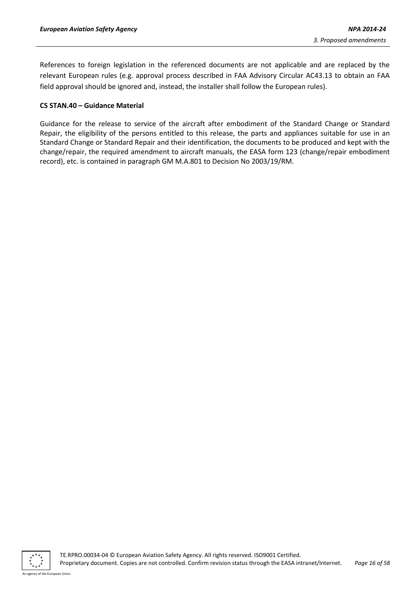References to foreign legislation in the referenced documents are not applicable and are replaced by the relevant European rules (e.g. approval process described in FAA Advisory Circular AC43.13 to obtain an FAA field approval should be ignored and, instead, the installer shall follow the European rules).

#### **CS STAN.40 – Guidance Material**

Guidance for the release to service of the aircraft after embodiment of the Standard Change or Standard Repair, the eligibility of the persons entitled to this release, the parts and appliances suitable for use in an Standard Change or Standard Repair and their identification, the documents to be produced and kept with the change/repair, the required amendment to aircraft manuals, the EASA form 123 (change/repair embodiment record), etc. is contained in paragraph GM M.A.801 to Decision No 2003/19/RM.

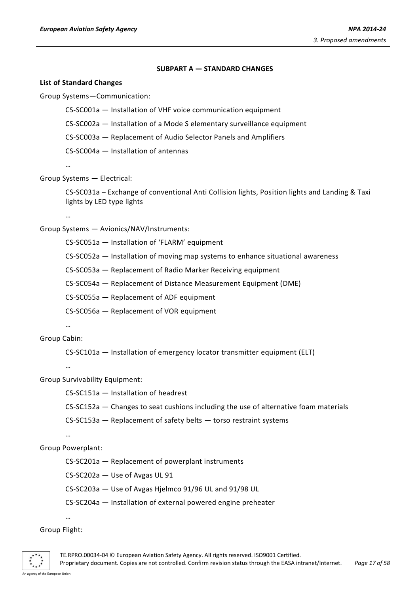#### **SUBPART A — STANDARD CHANGES**

#### <span id="page-16-0"></span>**List of Standard Changes**

Group Systems—Communication:

CS-SC001a — Installation of VHF voice communication equipment

CS-SC002a — Installation of a Mode S elementary surveillance equipment

CS-SC003a — Replacement of Audio Selector Panels and Amplifiers

CS-SC004a — Installation of antennas

…

Group Systems — Electrical:

CS-SC031a – Exchange of conventional Anti Collision lights, Position lights and Landing & Taxi lights by LED type lights

…

Group Systems — Avionics/NAV/Instruments:

CS-SC051a — Installation of 'FLARM' equipment

CS-SC052a — Installation of moving map systems to enhance situational awareness

CS-SC053a — Replacement of Radio Marker Receiving equipment

CS-SC054a — Replacement of Distance Measurement Equipment (DME)

CS-SC055a — Replacement of ADF equipment

CS-SC056a — Replacement of VOR equipment

…

# Group Cabin:

CS-SC101a — Installation of emergency locator transmitter equipment (ELT)

…

Group Survivability Equipment:

CS-SC151a — Installation of headrest

CS-SC152a — Changes to seat cushions including the use of alternative foam materials

CS-SC153a — Replacement of safety belts — torso restraint systems

…

Group Powerplant:

CS-SC201a — Replacement of powerplant instruments

CS-SC202a — Use of Avgas UL 91

CS-SC203a — Use of Avgas Hjelmco 91/96 UL and 91/98 UL

CS-SC204a — Installation of external powered engine preheater

…

# Group Flight:

TE.RPRO.00034-04 © European Aviation Safety Agency. All rights reserved. ISO9001 Certified. Proprietary document. Copies are not controlled. Confirm revision status through the EASA intranet/Internet. *Page 17 of 58*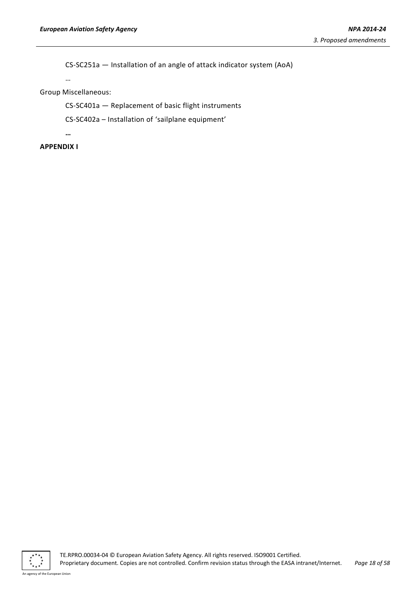CS-SC251a — Installation of an angle of attack indicator system (AoA)

…

Group Miscellaneous:

CS-SC401a — Replacement of basic flight instruments

CS-SC402a – Installation of 'sailplane equipment'

**…**

# **APPENDIX I**



TE.RPRO.00034-04 © European Aviation Safety Agency. All rights reserved. ISO9001 Certified. Proprietary document. Copies are not controlled. Confirm revision status through the EASA intranet/Internet. *Page 18 of 58*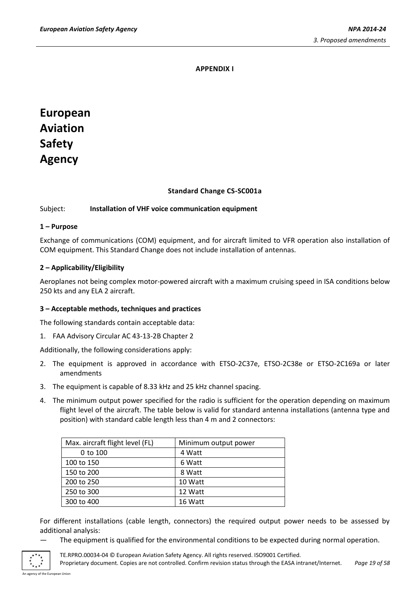#### **APPENDIX I**

# **European Aviation Safety Agency**

#### **Standard Change CS-SC001a**

#### Subject: **Installation of VHF voice communication equipment**

#### **1 – Purpose**

Exchange of communications (COM) equipment, and for aircraft limited to VFR operation also installation of COM equipment. This Standard Change does not include installation of antennas.

#### **2 – Applicability/Eligibility**

Aeroplanes not being complex motor-powered aircraft with a maximum cruising speed in ISA conditions below 250 kts and any ELA 2 aircraft.

#### **3 – Acceptable methods, techniques and practices**

The following standards contain acceptable data:

1. FAA Advisory Circular AC 43-13-2B Chapter 2

Additionally, the following considerations apply:

- 2. The equipment is approved in accordance with ETSO-2C37e, ETSO-2C38e or ETSO-2C169a or later amendments
- 3. The equipment is capable of 8.33 kHz and 25 kHz channel spacing.
- 4. The minimum output power specified for the radio is sufficient for the operation depending on maximum flight level of the aircraft. The table below is valid for standard antenna installations (antenna type and position) with standard cable length less than 4 m and 2 connectors:

| Max. aircraft flight level (FL) | Minimum output power |
|---------------------------------|----------------------|
| 0 to 100                        | 4 Watt               |
| 100 to 150                      | 6 Watt               |
| 150 to 200                      | 8 Watt               |
| 200 to 250                      | 10 Watt              |
| 250 to 300                      | 12 Watt              |
| 300 to 400                      | 16 Watt              |

For different installations (cable length, connectors) the required output power needs to be assessed by additional analysis:

The equipment is qualified for the environmental conditions to be expected during normal operation.



TE.RPRO.00034-04 © European Aviation Safety Agency. All rights reserved. ISO9001 Certified. Proprietary document. Copies are not controlled. Confirm revision status through the EASA intranet/Internet. *Page 19 of 58*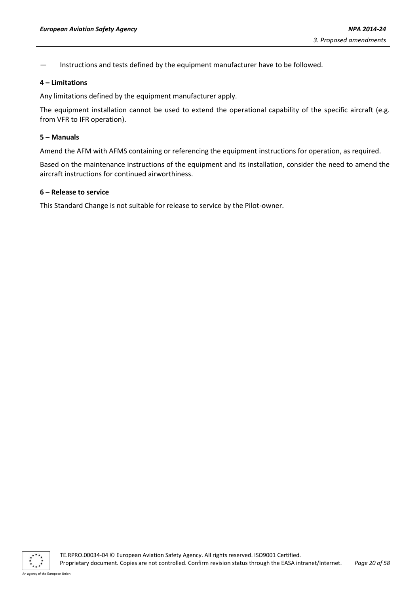Instructions and tests defined by the equipment manufacturer have to be followed.

#### **4 – Limitations**

Any limitations defined by the equipment manufacturer apply.

The equipment installation cannot be used to extend the operational capability of the specific aircraft (e.g. from VFR to IFR operation).

#### **5 – Manuals**

Amend the AFM with AFMS containing or referencing the equipment instructions for operation, as required.

Based on the maintenance instructions of the equipment and its installation, consider the need to amend the aircraft instructions for continued airworthiness.

#### **6 – Release to service**

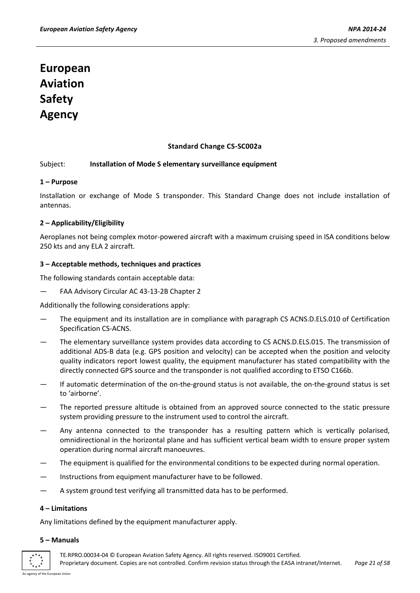## **Standard Change CS-SC002a**

#### Subject: **Installation of Mode S elementary surveillance equipment**

#### **1 – Purpose**

Installation or exchange of Mode S transponder. This Standard Change does not include installation of antennas.

# **2 – Applicability/Eligibility**

Aeroplanes not being complex motor-powered aircraft with a maximum cruising speed in ISA conditions below 250 kts and any ELA 2 aircraft.

#### **3 – Acceptable methods, techniques and practices**

The following standards contain acceptable data:

FAA Advisory Circular AC 43-13-2B Chapter 2

Additionally the following considerations apply:

- The equipment and its installation are in compliance with paragraph CS ACNS.D.ELS.010 of Certification Specification CS-ACNS.
- The elementary surveillance system provides data according to CS ACNS.D.ELS.015. The transmission of additional ADS-B data (e.g. GPS position and velocity) can be accepted when the position and velocity quality indicators report lowest quality, the equipment manufacturer has stated compatibility with the directly connected GPS source and the transponder is not qualified according to ETSO C166b.
- If automatic determination of the on-the-ground status is not available, the on-the-ground status is set to 'airborne'.
- The reported pressure altitude is obtained from an approved source connected to the static pressure system providing pressure to the instrument used to control the aircraft.
- Any antenna connected to the transponder has a resulting pattern which is vertically polarised, omnidirectional in the horizontal plane and has sufficient vertical beam width to ensure proper system operation during normal aircraft manoeuvres.
- The equipment is qualified for the environmental conditions to be expected during normal operation.
- Instructions from equipment manufacturer have to be followed.
- A system ground test verifying all transmitted data has to be performed.

#### **4 – Limitations**

Any limitations defined by the equipment manufacturer apply.

#### **5 – Manuals**



TE.RPRO.00034-04 © European Aviation Safety Agency. All rights reserved. ISO9001 Certified. Proprietary document. Copies are not controlled. Confirm revision status through the EASA intranet/Internet. *Page 21 of 58*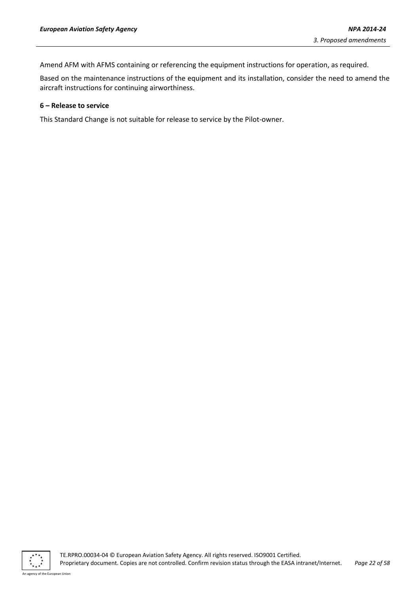Amend AFM with AFMS containing or referencing the equipment instructions for operation, as required.

Based on the maintenance instructions of the equipment and its installation, consider the need to amend the aircraft instructions for continuing airworthiness.

#### **6 – Release to service**

This Standard Change is not suitable for release to service by the Pilot-owner.



TE.RPRO.00034-04 © European Aviation Safety Agency. All rights reserved. ISO9001 Certified. Proprietary document. Copies are not controlled. Confirm revision status through the EASA intranet/Internet. *Page 22 of 58*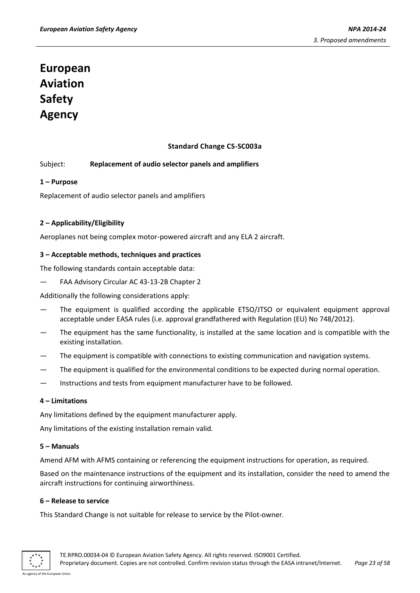# **Standard Change CS-SC003a**

#### Subject: **Replacement of audio selector panels and amplifiers**

#### **1 – Purpose**

Replacement of audio selector panels and amplifiers

#### **2 – Applicability/Eligibility**

Aeroplanes not being complex motor-powered aircraft and any ELA 2 aircraft.

#### **3 – Acceptable methods, techniques and practices**

The following standards contain acceptable data:

— FAA Advisory Circular AC 43-13-2B Chapter 2

Additionally the following considerations apply:

- The equipment is qualified according the applicable ETSO/JTSO or equivalent equipment approval acceptable under EASA rules (i.e. approval grandfathered with Regulation (EU) No 748/2012).
- The equipment has the same functionality, is installed at the same location and is compatible with the existing installation.
- The equipment is compatible with connections to existing communication and navigation systems.
- The equipment is qualified for the environmental conditions to be expected during normal operation.
- Instructions and tests from equipment manufacturer have to be followed.

#### **4 – Limitations**

Any limitations defined by the equipment manufacturer apply.

Any limitations of the existing installation remain valid.

#### **5 – Manuals**

Amend AFM with AFMS containing or referencing the equipment instructions for operation, as required.

Based on the maintenance instructions of the equipment and its installation, consider the need to amend the aircraft instructions for continuing airworthiness.

#### **6 – Release to service**

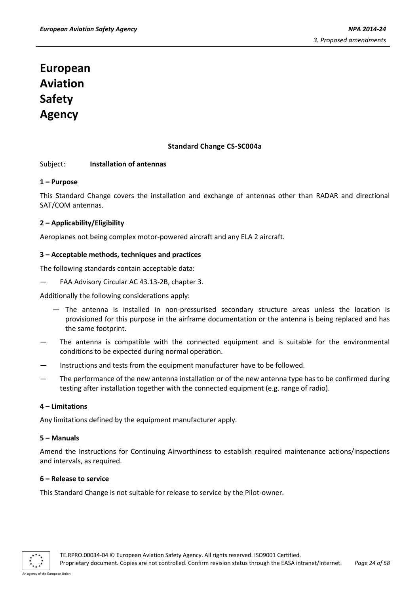## **Standard Change CS-SC004a**

#### Subject: **Installation of antennas**

#### **1 – Purpose**

This Standard Change covers the installation and exchange of antennas other than RADAR and directional SAT/COM antennas.

# **2 – Applicability/Eligibility**

Aeroplanes not being complex motor-powered aircraft and any ELA 2 aircraft.

#### **3 – Acceptable methods, techniques and practices**

The following standards contain acceptable data:

— FAA Advisory Circular AC 43.13-2B, chapter 3.

Additionally the following considerations apply:

- The antenna is installed in non-pressurised secondary structure areas unless the location is provisioned for this purpose in the airframe documentation or the antenna is being replaced and has the same footprint.
- The antenna is compatible with the connected equipment and is suitable for the environmental conditions to be expected during normal operation.
- Instructions and tests from the equipment manufacturer have to be followed.
- The performance of the new antenna installation or of the new antenna type has to be confirmed during testing after installation together with the connected equipment (e.g. range of radio).

#### **4 – Limitations**

Any limitations defined by the equipment manufacturer apply.

#### **5 – Manuals**

Amend the Instructions for Continuing Airworthiness to establish required maintenance actions/inspections and intervals, as required.

#### **6 – Release to service**

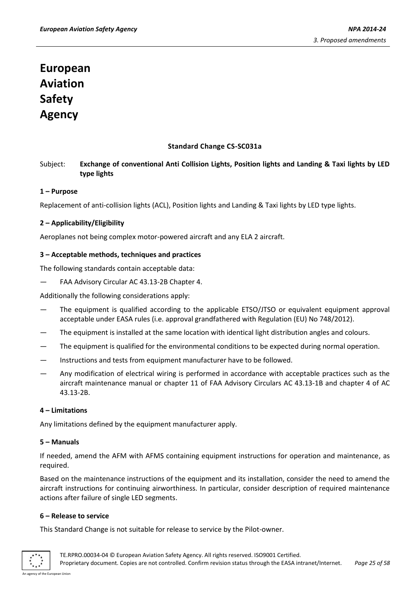# **Standard Change CS-SC031a**

# Subject: **Exchange of conventional Anti Collision Lights, Position lights and Landing & Taxi lights by LED type lights**

# **1 – Purpose**

Replacement of anti-collision lights (ACL), Position lights and Landing & Taxi lights by LED type lights.

# **2 – Applicability/Eligibility**

Aeroplanes not being complex motor-powered aircraft and any ELA 2 aircraft.

#### **3 – Acceptable methods, techniques and practices**

The following standards contain acceptable data:

— FAA Advisory Circular AC 43.13-2B Chapter 4.

Additionally the following considerations apply:

- The equipment is qualified according to the applicable ETSO/JTSO or equivalent equipment approval acceptable under EASA rules (i.e. approval grandfathered with Regulation (EU) No 748/2012).
- The equipment is installed at the same location with identical light distribution angles and colours.
- The equipment is qualified for the environmental conditions to be expected during normal operation.
- Instructions and tests from equipment manufacturer have to be followed.
- Any modification of electrical wiring is performed in accordance with acceptable practices such as the aircraft maintenance manual or chapter 11 of FAA Advisory Circulars AC 43.13-1B and chapter 4 of AC 43.13-2B.

#### **4 – Limitations**

Any limitations defined by the equipment manufacturer apply.

#### **5 – Manuals**

If needed, amend the AFM with AFMS containing equipment instructions for operation and maintenance, as required.

Based on the maintenance instructions of the equipment and its installation, consider the need to amend the aircraft instructions for continuing airworthiness. In particular, consider description of required maintenance actions after failure of single LED segments.

#### **6 – Release to service**

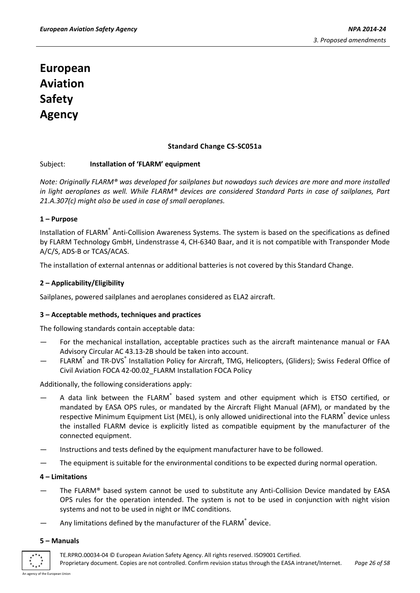# **Standard Change CS-SC051a**

#### Subject: **Installation of 'FLARM' equipment**

*Note: Originally FLARM® was developed for sailplanes but nowadays such devices are more and more installed in light aeroplanes as well. While FLARM® devices are considered Standard Parts in case of sailplanes, Part 21.A.307(c) might also be used in case of small aeroplanes.*

#### **1 – Purpose**

Installation of FLARM<sup>®</sup> Anti-Collision Awareness Systems. The system is based on the specifications as defined by FLARM Technology GmbH, Lindenstrasse 4, CH-6340 Baar, and it is not compatible with Transponder Mode A/C/S, ADS-B or TCAS/ACAS.

The installation of external antennas or additional batteries is not covered by this Standard Change.

#### **2 – Applicability/Eligibility**

Sailplanes, powered sailplanes and aeroplanes considered as ELA2 aircraft.

#### **3 – Acceptable methods, techniques and practices**

The following standards contain acceptable data:

- For the mechanical installation, acceptable practices such as the aircraft maintenance manual or FAA Advisory Circular AC 43.13-2B should be taken into account.
- $-$  FLARM<sup>®</sup> and TR-DVS<sup>®</sup> Installation Policy for Aircraft, TMG, Helicopters, (Gliders); Swiss Federal Office of Civil Aviation FOCA 42-00.02\_FLARM Installation FOCA Policy

Additionally, the following considerations apply:

- A data link between the FLARM<sup>®</sup> based system and other equipment which is ETSO certified, or mandated by EASA OPS rules, or mandated by the Aircraft Flight Manual (AFM), or mandated by the respective Minimum Equipment List (MEL), is only allowed unidirectional into the FLARM<sup>®</sup> device unless the installed FLARM device is explicitly listed as compatible equipment by the manufacturer of the connected equipment.
- Instructions and tests defined by the equipment manufacturer have to be followed.
- The equipment is suitable for the environmental conditions to be expected during normal operation.

#### **4 – Limitations**

- The FLARM® based system cannot be used to substitute any Anti-Collision Device mandated by EASA OPS rules for the operation intended. The system is not to be used in conjunction with night vision systems and not to be used in night or IMC conditions.
- $-$  Any limitations defined by the manufacturer of the FLARM<sup>®</sup> device.

#### **5 – Manuals**



TE.RPRO.00034-04 © European Aviation Safety Agency. All rights reserved. ISO9001 Certified. Proprietary document. Copies are not controlled. Confirm revision status through the EASA intranet/Internet. *Page 26 of 58*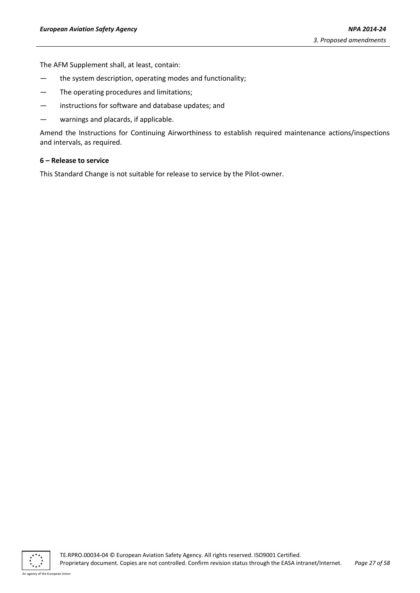The AFM Supplement shall, at least, contain:

- the system description, operating modes and functionality;
- The operating procedures and limitations;
- instructions for software and database updates; and
- warnings and placards, if applicable.

Amend the Instructions for Continuing Airworthiness to establish required maintenance actions/inspections and intervals, as required.

#### **6 – Release to service**

This Standard Change is not suitable for release to service by the Pilot-owner.



An agency of the European Union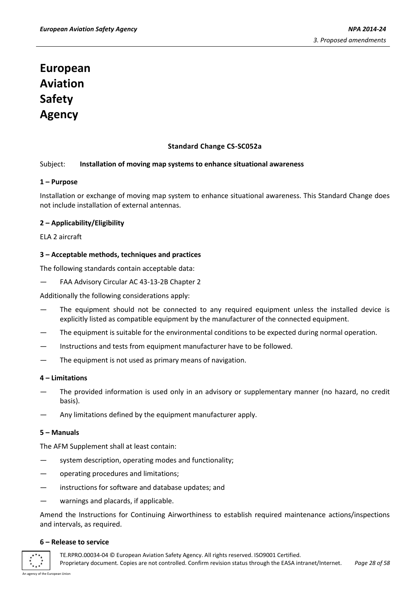# **Standard Change CS-SC052a**

#### Subject: **Installation of moving map systems to enhance situational awareness**

#### **1 – Purpose**

Installation or exchange of moving map system to enhance situational awareness. This Standard Change does not include installation of external antennas.

#### **2 – Applicability/Eligibility**

ELA 2 aircraft

#### **3 – Acceptable methods, techniques and practices**

The following standards contain acceptable data:

— FAA Advisory Circular AC 43-13-2B Chapter 2

Additionally the following considerations apply:

- The equipment should not be connected to any required equipment unless the installed device is explicitly listed as compatible equipment by the manufacturer of the connected equipment.
- The equipment is suitable for the environmental conditions to be expected during normal operation.
- Instructions and tests from equipment manufacturer have to be followed.
- The equipment is not used as primary means of navigation.

#### **4 – Limitations**

- The provided information is used only in an advisory or supplementary manner (no hazard, no credit basis).
- Any limitations defined by the equipment manufacturer apply.

#### **5 – Manuals**

The AFM Supplement shall at least contain:

- system description, operating modes and functionality;
- operating procedures and limitations;
- instructions for software and database updates; and
- warnings and placards, if applicable.

Amend the Instructions for Continuing Airworthiness to establish required maintenance actions/inspections and intervals, as required.

#### **6 – Release to service**



TE.RPRO.00034-04 © European Aviation Safety Agency. All rights reserved. ISO9001 Certified. Proprietary document. Copies are not controlled. Confirm revision status through the EASA intranet/Internet. *Page 28 of 58*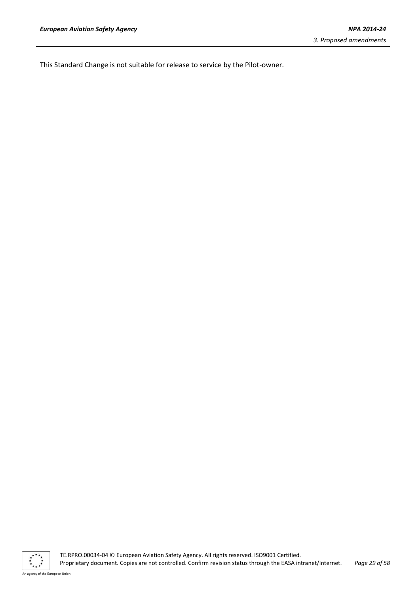This Standard Change is not suitable for release to service by the Pilot-owner.



TE.RPRO.00034-04 © European Aviation Safety Agency. All rights reserved. ISO9001 Certified. Proprietary document. Copies are not controlled. Confirm revision status through the EASA intranet/Internet. *Page 29 of 58*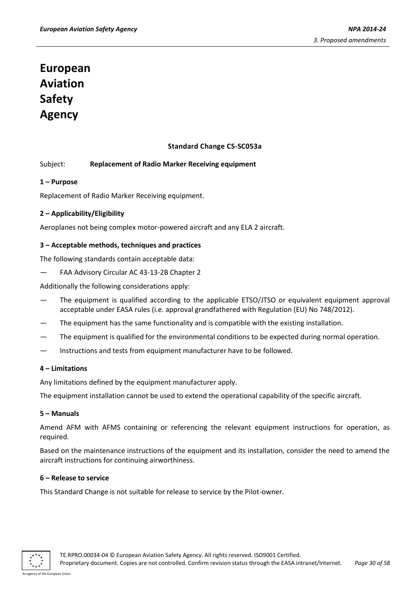# **Standard Change CS-SC053a**

#### Subject: **Replacement of Radio Marker Receiving equipment**

#### **1 – Purpose**

Replacement of Radio Marker Receiving equipment.

#### **2 – Applicability/Eligibility**

Aeroplanes not being complex motor-powered aircraft and any ELA 2 aircraft.

#### **3 – Acceptable methods, techniques and practices**

The following standards contain acceptable data:

FAA Advisory Circular AC 43-13-2B Chapter 2

Additionally the following considerations apply:

- The equipment is qualified according to the applicable ETSO/JTSO or equivalent equipment approval acceptable under EASA rules (i.e. approval grandfathered with Regulation (EU) No 748/2012).
- The equipment has the same functionality and is compatible with the existing installation.
- The equipment is qualified for the environmental conditions to be expected during normal operation.
- Instructions and tests from equipment manufacturer have to be followed.

#### **4 – Limitations**

Any limitations defined by the equipment manufacturer apply.

The equipment installation cannot be used to extend the operational capability of the specific aircraft.

#### **5 – Manuals**

Amend AFM with AFMS containing or referencing the relevant equipment instructions for operation, as required.

Based on the maintenance instructions of the equipment and its installation, consider the need to amend the aircraft instructions for continuing airworthiness.

#### **6 – Release to service**

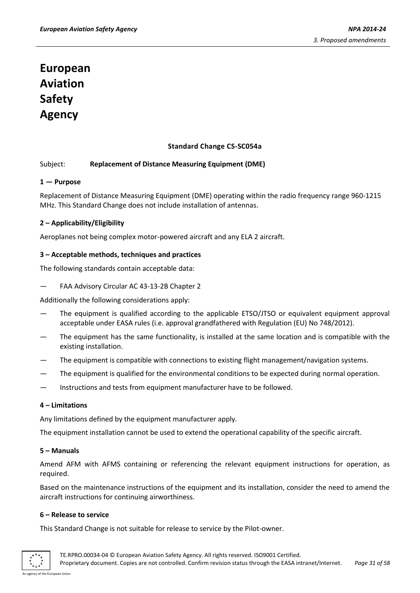# **Standard Change CS-SC054a**

#### Subject: **Replacement of Distance Measuring Equipment (DME)**

#### **1 — Purpose**

Replacement of Distance Measuring Equipment (DME) operating within the radio frequency range 960-1215 MHz. This Standard Change does not include installation of antennas.

#### **2 – Applicability/Eligibility**

Aeroplanes not being complex motor-powered aircraft and any ELA 2 aircraft.

#### **3 – Acceptable methods, techniques and practices**

The following standards contain acceptable data:

FAA Advisory Circular AC 43-13-2B Chapter 2

Additionally the following considerations apply:

- The equipment is qualified according to the applicable ETSO/JTSO or equivalent equipment approval acceptable under EASA rules (i.e. approval grandfathered with Regulation (EU) No 748/2012).
- The equipment has the same functionality, is installed at the same location and is compatible with the existing installation.
- The equipment is compatible with connections to existing flight management/navigation systems.
- The equipment is qualified for the environmental conditions to be expected during normal operation.
- Instructions and tests from equipment manufacturer have to be followed.

#### **4 – Limitations**

Any limitations defined by the equipment manufacturer apply.

The equipment installation cannot be used to extend the operational capability of the specific aircraft.

#### **5 – Manuals**

Amend AFM with AFMS containing or referencing the relevant equipment instructions for operation, as required.

Based on the maintenance instructions of the equipment and its installation, consider the need to amend the aircraft instructions for continuing airworthiness.

#### **6 – Release to service**

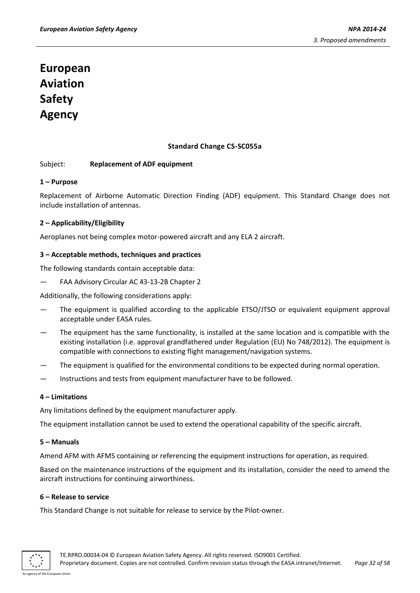# **Standard Change CS-SC055a**

#### Subject: **Replacement of ADF equipment**

#### **1 – Purpose**

Replacement of Airborne Automatic Direction Finding (ADF) equipment. This Standard Change does not include installation of antennas.

#### **2 – Applicability/Eligibility**

Aeroplanes not being complex motor-powered aircraft and any ELA 2 aircraft.

#### **3 – Acceptable methods, techniques and practices**

The following standards contain acceptable data:

— FAA Advisory Circular AC 43-13-2B Chapter 2

Additionally, the following considerations apply:

- The equipment is qualified according to the applicable ETSO/JTSO or equivalent equipment approval acceptable under EASA rules.
- The equipment has the same functionality, is installed at the same location and is compatible with the existing installation (i.e. approval grandfathered under Regulation (EU) No 748/2012). The equipment is compatible with connections to existing flight management/navigation systems.
- The equipment is qualified for the environmental conditions to be expected during normal operation.
- Instructions and tests from equipment manufacturer have to be followed.

#### **4 – Limitations**

Any limitations defined by the equipment manufacturer apply.

The equipment installation cannot be used to extend the operational capability of the specific aircraft.

#### **5 – Manuals**

Amend AFM with AFMS containing or referencing the equipment instructions for operation, as required.

Based on the maintenance instructions of the equipment and its installation, consider the need to amend the aircraft instructions for continuing airworthiness.

#### **6 – Release to service**

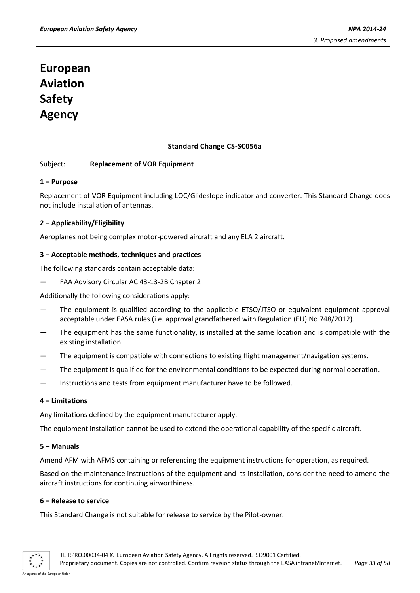# **Standard Change CS-SC056a**

#### Subject: **Replacement of VOR Equipment**

#### **1 – Purpose**

Replacement of VOR Equipment including LOC/Glideslope indicator and converter. This Standard Change does not include installation of antennas.

#### **2 – Applicability/Eligibility**

Aeroplanes not being complex motor-powered aircraft and any ELA 2 aircraft.

#### **3 – Acceptable methods, techniques and practices**

The following standards contain acceptable data:

— FAA Advisory Circular AC 43-13-2B Chapter 2

Additionally the following considerations apply:

- The equipment is qualified according to the applicable ETSO/JTSO or equivalent equipment approval acceptable under EASA rules (i.e. approval grandfathered with Regulation (EU) No 748/2012).
- The equipment has the same functionality, is installed at the same location and is compatible with the existing installation.
- The equipment is compatible with connections to existing flight management/navigation systems.
- The equipment is qualified for the environmental conditions to be expected during normal operation.
- Instructions and tests from equipment manufacturer have to be followed.

#### **4 – Limitations**

Any limitations defined by the equipment manufacturer apply.

The equipment installation cannot be used to extend the operational capability of the specific aircraft.

#### **5 – Manuals**

Amend AFM with AFMS containing or referencing the equipment instructions for operation, as required.

Based on the maintenance instructions of the equipment and its installation, consider the need to amend the aircraft instructions for continuing airworthiness.

#### **6 – Release to service**

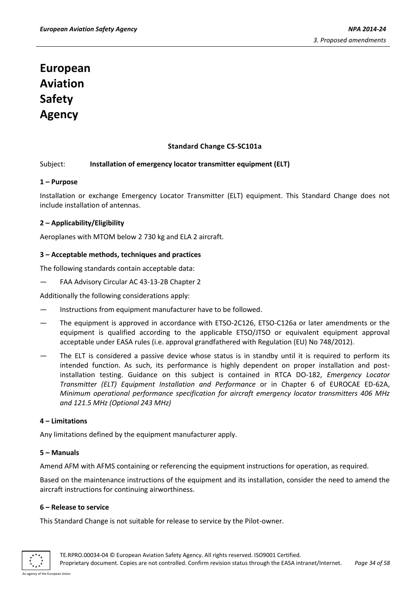# **Standard Change CS-SC101a**

#### Subject: **Installation of emergency locator transmitter equipment (ELT)**

#### **1 – Purpose**

Installation or exchange Emergency Locator Transmitter (ELT) equipment. This Standard Change does not include installation of antennas.

# **2 – Applicability/Eligibility**

Aeroplanes with MTOM below 2 730 kg and ELA 2 aircraft.

#### **3 – Acceptable methods, techniques and practices**

The following standards contain acceptable data:

— FAA Advisory Circular AC 43-13-2B Chapter 2

Additionally the following considerations apply:

- Instructions from equipment manufacturer have to be followed.
- The equipment is approved in accordance with ETSO-2C126, ETSO-C126a or later amendments or the equipment is qualified according to the applicable ETSO/JTSO or equivalent equipment approval acceptable under EASA rules (i.e. approval grandfathered with Regulation (EU) No 748/2012).
- The ELT is considered a passive device whose status is in standby until it is required to perform its intended function. As such, its performance is highly dependent on proper installation and postinstallation testing. Guidance on this subject is contained in RTCA DO-182, *Emergency Locator Transmitter (ELT) Equipment Installation and Performance* or in Chapter 6 of EUROCAE ED-62A, *Minimum operational performance specification for aircraft emergency locator transmitters 406 MHz and 121.5 MHz (Optional 243 MHz)*

#### **4 – Limitations**

Any limitations defined by the equipment manufacturer apply.

#### **5 – Manuals**

Amend AFM with AFMS containing or referencing the equipment instructions for operation, as required.

Based on the maintenance instructions of the equipment and its installation, consider the need to amend the aircraft instructions for continuing airworthiness.

#### **6 – Release to service**

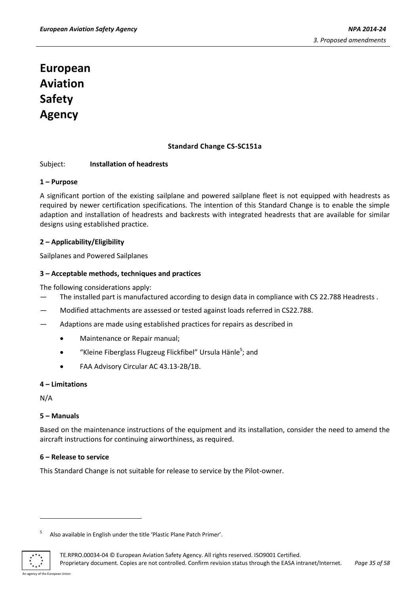# **Standard Change CS-SC151a**

#### Subject: **Installation of headrests**

#### **1 – Purpose**

A significant portion of the existing sailplane and powered sailplane fleet is not equipped with headrests as required by newer certification specifications. The intention of this Standard Change is to enable the simple adaption and installation of headrests and backrests with integrated headrests that are available for similar designs using established practice.

#### **2 – Applicability/Eligibility**

Sailplanes and Powered Sailplanes

#### **3 – Acceptable methods, techniques and practices**

The following considerations apply:

- The installed part is manufactured according to design data in compliance with CS 22.788 Headrests .
- Modified attachments are assessed or tested against loads referred in CS22.788.
- Adaptions are made using established practices for repairs as described in
	- Maintenance or Repair manual:
	- "Kleine Fiberglass Flugzeug Flickfibel" Ursula Hänle<sup>5</sup>; and
	- FAA Advisory Circular AC 43.13-2B/1B.

#### **4 – Limitations**

N/A

#### **5 – Manuals**

Based on the maintenance instructions of the equipment and its installation, consider the need to amend the aircraft instructions for continuing airworthiness, as required.

#### **6 – Release to service**

This Standard Change is not suitable for release to service by the Pilot-owner.

<sup>5</sup> Also available in English under the title 'Plastic Plane Patch Primer'.



-

An agency of the European Union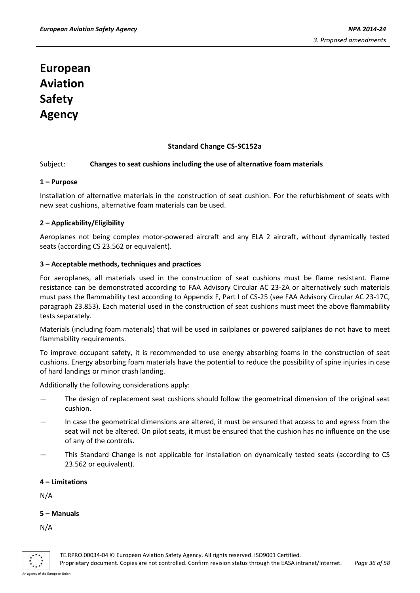# **Standard Change CS-SC152a**

#### Subject: **Changes to seat cushions including the use of alternative foam materials**

#### **1 – Purpose**

Installation of alternative materials in the construction of seat cushion. For the refurbishment of seats with new seat cushions, alternative foam materials can be used.

#### **2 – Applicability/Eligibility**

Aeroplanes not being complex motor-powered aircraft and any ELA 2 aircraft, without dynamically tested seats (according CS 23.562 or equivalent).

#### **3 – Acceptable methods, techniques and practices**

For aeroplanes, all materials used in the construction of seat cushions must be flame resistant. Flame resistance can be demonstrated according to FAA Advisory Circular AC 23-2A or alternatively such materials must pass the flammability test according to Appendix F, Part I of CS-25 (see FAA Advisory Circular AC 23-17C, paragraph 23.853). Each material used in the construction of seat cushions must meet the above flammability tests separately.

Materials (including foam materials) that will be used in sailplanes or powered sailplanes do not have to meet flammability requirements.

To improve occupant safety, it is recommended to use energy absorbing foams in the construction of seat cushions. Energy absorbing foam materials have the potential to reduce the possibility of spine injuries in case of hard landings or minor crash landing.

Additionally the following considerations apply:

- The design of replacement seat cushions should follow the geometrical dimension of the original seat cushion.
- In case the geometrical dimensions are altered, it must be ensured that access to and egress from the seat will not be altered. On pilot seats, it must be ensured that the cushion has no influence on the use of any of the controls.
- This Standard Change is not applicable for installation on dynamically tested seats (according to CS 23.562 or equivalent).

#### **4 – Limitations**

N/A

#### **5 – Manuals**

N/A



TE.RPRO.00034-04 © European Aviation Safety Agency. All rights reserved. ISO9001 Certified.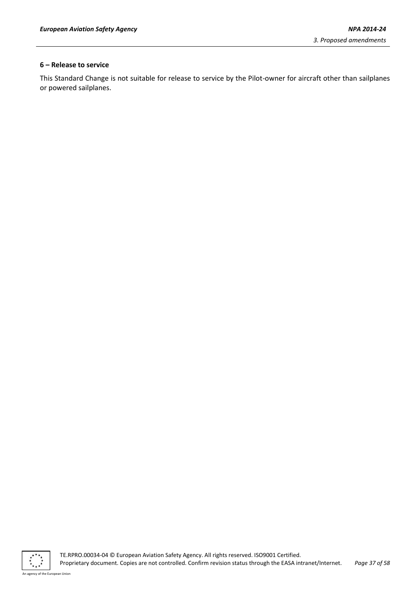#### **6 – Release to service**

This Standard Change is not suitable for release to service by the Pilot-owner for aircraft other than sailplanes or powered sailplanes.

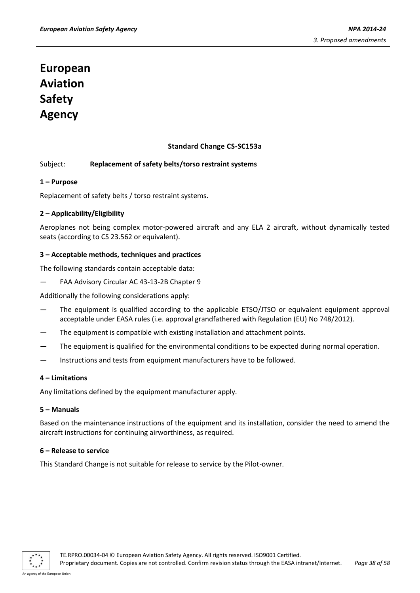# **Standard Change CS-SC153a**

#### Subject: **Replacement of safety belts/torso restraint systems**

#### **1 – Purpose**

Replacement of safety belts / torso restraint systems.

#### **2 – Applicability/Eligibility**

Aeroplanes not being complex motor-powered aircraft and any ELA 2 aircraft, without dynamically tested seats (according to CS 23.562 or equivalent).

#### **3 – Acceptable methods, techniques and practices**

The following standards contain acceptable data:

— FAA Advisory Circular AC 43-13-2B Chapter 9

Additionally the following considerations apply:

- The equipment is qualified according to the applicable ETSO/JTSO or equivalent equipment approval acceptable under EASA rules (i.e. approval grandfathered with Regulation (EU) No 748/2012).
- The equipment is compatible with existing installation and attachment points.
- The equipment is qualified for the environmental conditions to be expected during normal operation.
- Instructions and tests from equipment manufacturers have to be followed.

#### **4 – Limitations**

Any limitations defined by the equipment manufacturer apply.

#### **5 – Manuals**

Based on the maintenance instructions of the equipment and its installation, consider the need to amend the aircraft instructions for continuing airworthiness, as required.

#### **6 – Release to service**

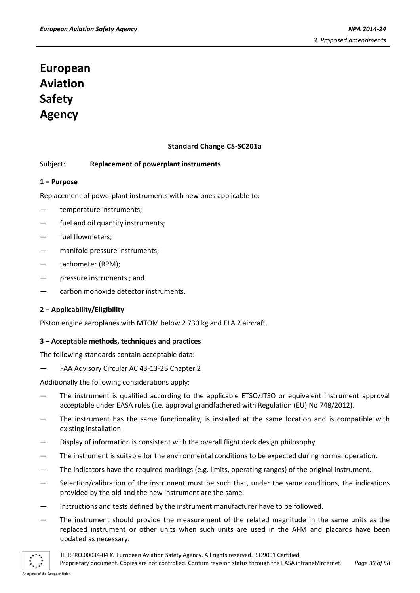# **Standard Change CS-SC201a**

#### Subject: **Replacement of powerplant instruments**

#### **1 – Purpose**

Replacement of powerplant instruments with new ones applicable to:

- temperature instruments;
- fuel and oil quantity instruments:
- fuel flowmeters:
- manifold pressure instruments;
- tachometer (RPM);
- pressure instruments ; and
- carbon monoxide detector instruments.

#### **2 – Applicability/Eligibility**

Piston engine aeroplanes with MTOM below 2 730 kg and ELA 2 aircraft.

#### **3 – Acceptable methods, techniques and practices**

The following standards contain acceptable data:

FAA Advisory Circular AC 43-13-2B Chapter 2

Additionally the following considerations apply:

- The instrument is qualified according to the applicable ETSO/JTSO or equivalent instrument approval acceptable under EASA rules (i.e. approval grandfathered with Regulation (EU) No 748/2012).
- The instrument has the same functionality, is installed at the same location and is compatible with existing installation.
- Display of information is consistent with the overall flight deck design philosophy.
- The instrument is suitable for the environmental conditions to be expected during normal operation.
- The indicators have the required markings (e.g. limits, operating ranges) of the original instrument.
- Selection/calibration of the instrument must be such that, under the same conditions, the indications provided by the old and the new instrument are the same.
- Instructions and tests defined by the instrument manufacturer have to be followed.
- The instrument should provide the measurement of the related magnitude in the same units as the replaced instrument or other units when such units are used in the AFM and placards have been updated as necessary.

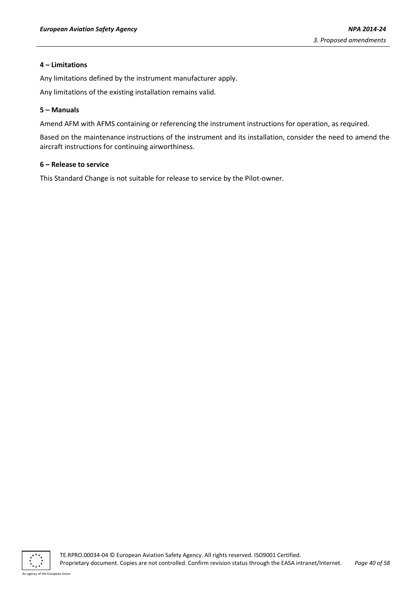#### **4 – Limitations**

Any limitations defined by the instrument manufacturer apply.

Any limitations of the existing installation remains valid.

# **5 – Manuals**

Amend AFM with AFMS containing or referencing the instrument instructions for operation, as required.

Based on the maintenance instructions of the instrument and its installation, consider the need to amend the aircraft instructions for continuing airworthiness.

#### **6 – Release to service**

This Standard Change is not suitable for release to service by the Pilot-owner.



TE.RPRO.00034-04 © European Aviation Safety Agency. All rights reserved. ISO9001 Certified. Proprietary document. Copies are not controlled. Confirm revision status through the EASA intranet/Internet. *Page 40 of 58*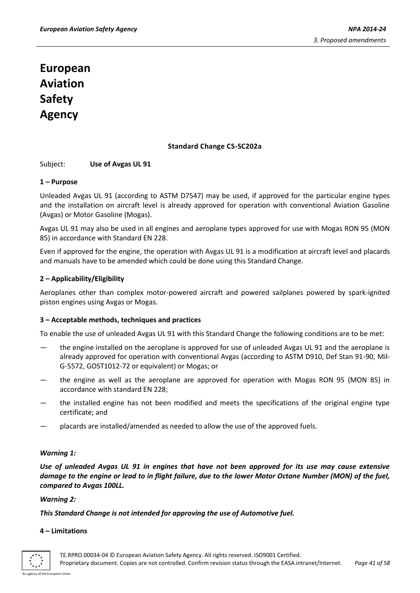## **Standard Change CS-SC202a**

Subject: **Use of Avgas UL 91**

#### **1 – Purpose**

Unleaded Avgas UL 91 (according to ASTM D7547) may be used, if approved for the particular engine types and the installation on aircraft level is already approved for operation with conventional Aviation Gasoline (Avgas) or Motor Gasoline (Mogas).

Avgas UL 91 may also be used in all engines and aeroplane types approved for use with Mogas RON 95 (MON 85) in accordance with Standard EN 228.

Even if approved for the engine, the operation with Avgas UL 91 is a modification at aircraft level and placards and manuals have to be amended which could be done using this Standard Change.

#### **2 – Applicability/Eligibility**

Aeroplanes other than complex motor-powered aircraft and powered sailplanes powered by spark-ignited piston engines using Avgas or Mogas.

#### **3 – Acceptable methods, techniques and practices**

To enable the use of unleaded Avgas UL 91 with this Standard Change the following conditions are to be met:

- the engine installed on the aeroplane is approved for use of unleaded Avgas UL 91 and the aeroplane is already approved for operation with conventional Avgas (according to ASTM D910, Def Stan 91-90, Mil-G-5572, GOST1012-72 or equivalent) or Mogas; or
- the engine as well as the aeroplane are approved for operation with Mogas RON 95 (MON 85) in accordance with standard EN 228;
- the installed engine has not been modified and meets the specifications of the original engine type certificate; and
- placards are installed/amended as needed to allow the use of the approved fuels.

#### *Warning 1:*

*Use of unleaded Avgas UL 91 in engines that have not been approved for its use may cause extensive damage to the engine or lead to in flight failure, due to the lower Motor Octane Number (MON) of the fuel, compared to Avgas 100LL.*

#### *Warning 2:*

*This Standard Change is not intended for approving the use of Automotive fuel.*

#### **4 – Limitations**

TE.RPRO.00034-04 © European Aviation Safety Agency. All rights reserved. ISO9001 Certified. Proprietary document. Copies are not controlled. Confirm revision status through the EASA intranet/Internet. *Page 41 of 58*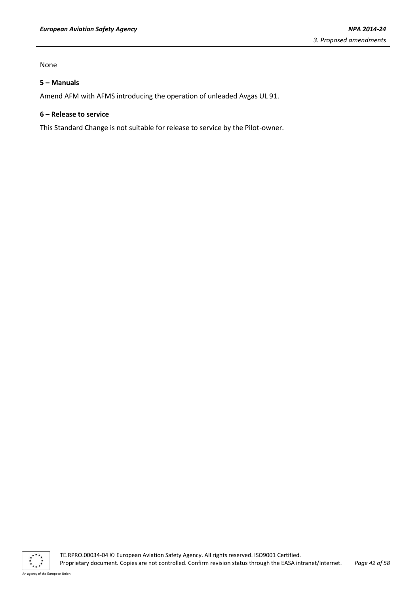#### None

#### **5 – Manuals**

Amend AFM with AFMS introducing the operation of unleaded Avgas UL 91.

#### **6 – Release to service**

This Standard Change is not suitable for release to service by the Pilot-owner.



TE.RPRO.00034-04 © European Aviation Safety Agency. All rights reserved. ISO9001 Certified. Proprietary document. Copies are not controlled. Confirm revision status through the EASA intranet/Internet. *Page 42 of 58*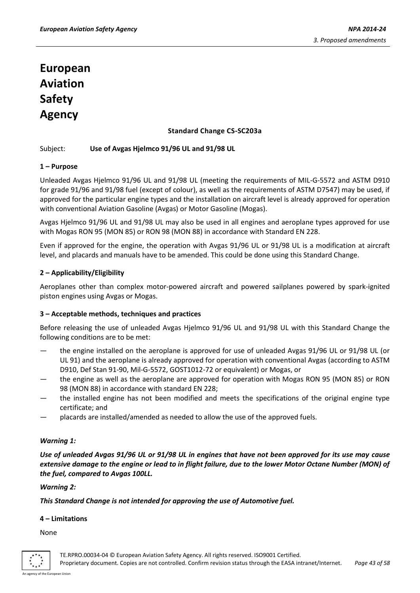# **Standard Change CS-SC203a**

## Subject: **Use of Avgas Hjelmco 91/96 UL and 91/98 UL**

# **1 – Purpose**

Unleaded Avgas Hjelmco 91/96 UL and 91/98 UL (meeting the requirements of MIL-G-5572 and ASTM D910 for grade 91/96 and 91/98 fuel (except of colour), as well as the requirements of ASTM D7547) may be used, if approved for the particular engine types and the installation on aircraft level is already approved for operation with conventional Aviation Gasoline (Avgas) or Motor Gasoline (Mogas).

Avgas Hjelmco 91/96 UL and 91/98 UL may also be used in all engines and aeroplane types approved for use with Mogas RON 95 (MON 85) or RON 98 (MON 88) in accordance with Standard EN 228.

Even if approved for the engine, the operation with Avgas 91/96 UL or 91/98 UL is a modification at aircraft level, and placards and manuals have to be amended. This could be done using this Standard Change.

# **2 – Applicability/Eligibility**

Aeroplanes other than complex motor-powered aircraft and powered sailplanes powered by spark-ignited piston engines using Avgas or Mogas.

# **3 – Acceptable methods, techniques and practices**

Before releasing the use of unleaded Avgas Hjelmco 91/96 UL and 91/98 UL with this Standard Change the following conditions are to be met:

- the engine installed on the aeroplane is approved for use of unleaded Avgas 91/96 UL or 91/98 UL (or UL 91) and the aeroplane is already approved for operation with conventional Avgas (according to ASTM D910, Def Stan 91-90, Mil-G-5572, GOST1012-72 or equivalent) or Mogas, or
- the engine as well as the aeroplane are approved for operation with Mogas RON 95 (MON 85) or RON 98 (MON 88) in accordance with standard EN 228;
- the installed engine has not been modified and meets the specifications of the original engine type certificate; and
- placards are installed/amended as needed to allow the use of the approved fuels.

# *Warning 1:*

*Use of unleaded Avgas 91/96 UL or 91/98 UL in engines that have not been approved for its use may cause extensive damage to the engine or lead to in flight failure, due to the lower Motor Octane Number (MON) of the fuel, compared to Avgas 100LL.*

#### *Warning 2:*

*This Standard Change is not intended for approving the use of Automotive fuel.*

#### **4 – Limitations**

None



TE.RPRO.00034-04 © European Aviation Safety Agency. All rights reserved. ISO9001 Certified.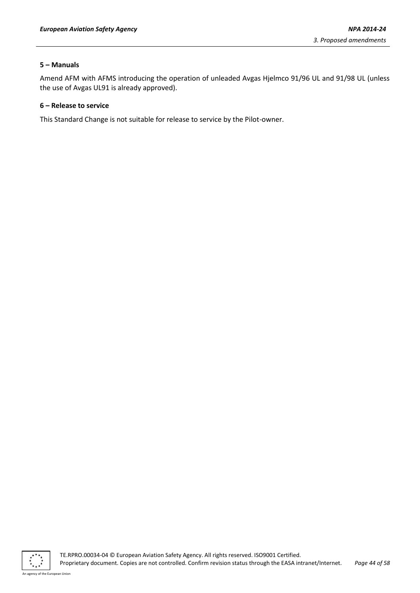#### **5 – Manuals**

Amend AFM with AFMS introducing the operation of unleaded Avgas Hjelmco 91/96 UL and 91/98 UL (unless the use of Avgas UL91 is already approved).

#### **6 – Release to service**

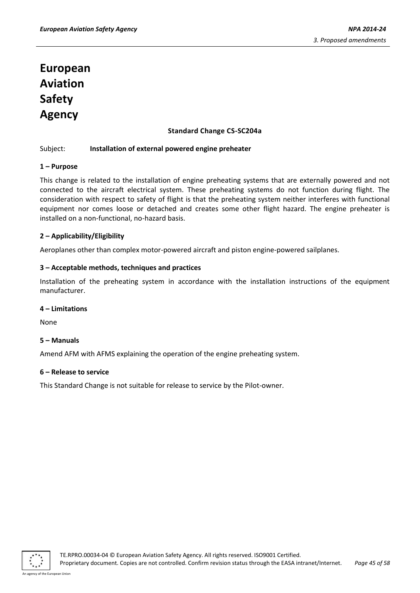# **Standard Change CS-SC204a**

#### Subject: **Installation of external powered engine preheater**

# **1 – Purpose**

This change is related to the installation of engine preheating systems that are externally powered and not connected to the aircraft electrical system. These preheating systems do not function during flight. The consideration with respect to safety of flight is that the preheating system neither interferes with functional equipment nor comes loose or detached and creates some other flight hazard. The engine preheater is installed on a non-functional, no-hazard basis.

# **2 – Applicability/Eligibility**

Aeroplanes other than complex motor-powered aircraft and piston engine-powered sailplanes.

#### **3 – Acceptable methods, techniques and practices**

Installation of the preheating system in accordance with the installation instructions of the equipment manufacturer.

#### **4 – Limitations**

None

#### **5 – Manuals**

Amend AFM with AFMS explaining the operation of the engine preheating system.

#### **6 – Release to service**

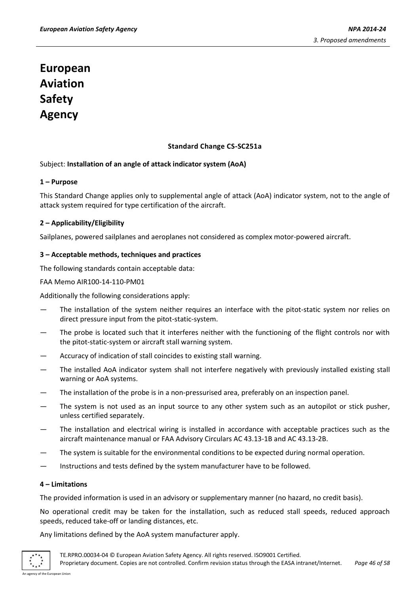# **Standard Change CS-SC251a**

#### Subject: **Installation of an angle of attack indicator system (AoA)**

#### **1 – Purpose**

This Standard Change applies only to supplemental angle of attack (AoA) indicator system, not to the angle of attack system required for type certification of the aircraft.

#### **2 – Applicability/Eligibility**

Sailplanes, powered sailplanes and aeroplanes not considered as complex motor-powered aircraft.

#### **3 – Acceptable methods, techniques and practices**

The following standards contain acceptable data:

#### FAA Memo AIR100-14-110-PM01

Additionally the following considerations apply:

- The installation of the system neither requires an interface with the pitot-static system nor relies on direct pressure input from the pitot-static-system.
- The probe is located such that it interferes neither with the functioning of the flight controls nor with the pitot-static-system or aircraft stall warning system.
- Accuracy of indication of stall coincides to existing stall warning.
- The installed AoA indicator system shall not interfere negatively with previously installed existing stall warning or AoA systems.
- The installation of the probe is in a non-pressurised area, preferably on an inspection panel.
- The system is not used as an input source to any other system such as an autopilot or stick pusher, unless certified separately.
- The installation and electrical wiring is installed in accordance with acceptable practices such as the aircraft maintenance manual or FAA Advisory Circulars AC 43.13-1B and AC 43.13-2B.
- The system is suitable for the environmental conditions to be expected during normal operation.
- Instructions and tests defined by the system manufacturer have to be followed.

#### **4 – Limitations**

The provided information is used in an advisory or supplementary manner (no hazard, no credit basis).

No operational credit may be taken for the installation, such as reduced stall speeds, reduced approach speeds, reduced take-off or landing distances, etc.

Any limitations defined by the AoA system manufacturer apply.

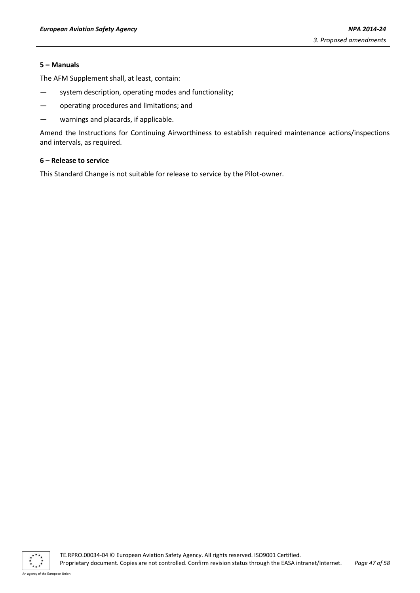#### **5 – Manuals**

The AFM Supplement shall, at least, contain:

- system description, operating modes and functionality;
- operating procedures and limitations; and
- warnings and placards, if applicable.

Amend the Instructions for Continuing Airworthiness to establish required maintenance actions/inspections and intervals, as required.

#### **6 – Release to service**

This Standard Change is not suitable for release to service by the Pilot-owner.



An agency of the European Union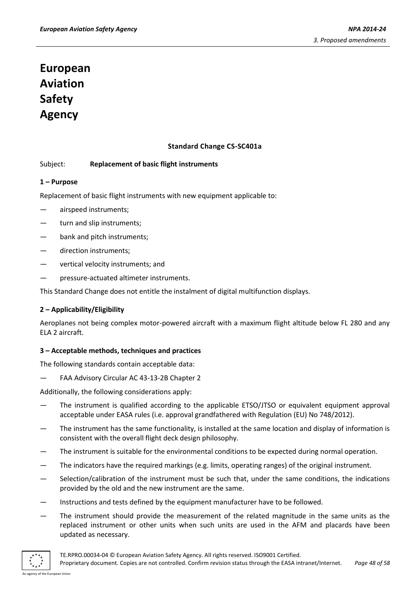# **Standard Change CS-SC401a**

#### Subject: **Replacement of basic flight instruments**

#### **1 – Purpose**

Replacement of basic flight instruments with new equipment applicable to:

- airspeed instruments;
- turn and slip instruments;
- bank and pitch instruments:
- direction instruments;
- vertical velocity instruments; and
- pressure-actuated altimeter instruments.

This Standard Change does not entitle the instalment of digital multifunction displays.

#### **2 – Applicability/Eligibility**

Aeroplanes not being complex motor-powered aircraft with a maximum flight altitude below FL 280 and any ELA 2 aircraft.

#### **3 – Acceptable methods, techniques and practices**

The following standards contain acceptable data:

FAA Advisory Circular AC 43-13-2B Chapter 2

Additionally, the following considerations apply:

- The instrument is qualified according to the applicable ETSO/JTSO or equivalent equipment approval acceptable under EASA rules (i.e. approval grandfathered with Regulation (EU) No 748/2012).
- The instrument has the same functionality, is installed at the same location and display of information is consistent with the overall flight deck design philosophy.
- The instrument is suitable for the environmental conditions to be expected during normal operation.
- The indicators have the required markings (e.g. limits, operating ranges) of the original instrument.
- Selection/calibration of the instrument must be such that, under the same conditions, the indications provided by the old and the new instrument are the same.
- Instructions and tests defined by the equipment manufacturer have to be followed.
- The instrument should provide the measurement of the related magnitude in the same units as the replaced instrument or other units when such units are used in the AFM and placards have been updated as necessary.



TE.RPRO.00034-04 © European Aviation Safety Agency. All rights reserved. ISO9001 Certified.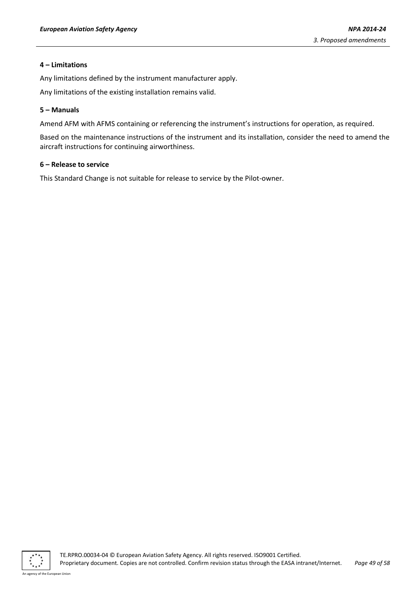#### **4 – Limitations**

Any limitations defined by the instrument manufacturer apply.

Any limitations of the existing installation remains valid.

# **5 – Manuals**

Amend AFM with AFMS containing or referencing the instrument's instructions for operation, as required.

Based on the maintenance instructions of the instrument and its installation, consider the need to amend the aircraft instructions for continuing airworthiness.

#### **6 – Release to service**

This Standard Change is not suitable for release to service by the Pilot-owner.



TE.RPRO.00034-04 © European Aviation Safety Agency. All rights reserved. ISO9001 Certified. Proprietary document. Copies are not controlled. Confirm revision status through the EASA intranet/Internet. *Page 49 of 58*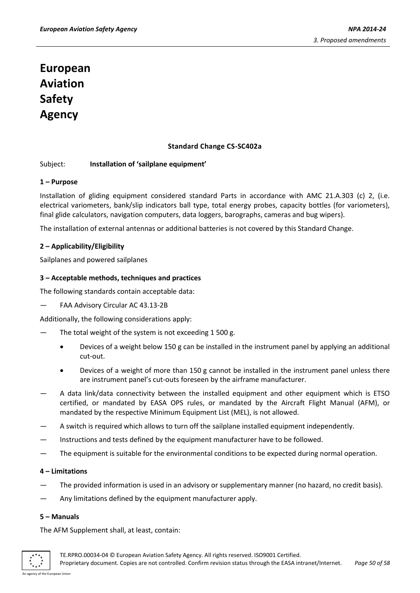# **Standard Change CS-SC402a**

#### Subject: **Installation of 'sailplane equipment'**

#### **1 – Purpose**

Installation of gliding equipment considered standard Parts in accordance with AMC 21.A.303 (c) 2, (i.e. electrical variometers, bank/slip indicators ball type, total energy probes, capacity bottles (for variometers), final glide calculators, navigation computers, data loggers, barographs, cameras and bug wipers).

The installation of external antennas or additional batteries is not covered by this Standard Change.

#### **2 – Applicability/Eligibility**

Sailplanes and powered sailplanes

#### **3 – Acceptable methods, techniques and practices**

The following standards contain acceptable data:

— FAA Advisory Circular AC 43.13-2B

Additionally, the following considerations apply:

- The total weight of the system is not exceeding 1 500 g.
	- Devices of a weight below 150 g can be installed in the instrument panel by applying an additional cut-out.
	- Devices of a weight of more than 150 g cannot be installed in the instrument panel unless there are instrument panel's cut-outs foreseen by the airframe manufacturer.
- A data link/data connectivity between the installed equipment and other equipment which is ETSO certified, or mandated by EASA OPS rules, or mandated by the Aircraft Flight Manual (AFM), or mandated by the respective Minimum Equipment List (MEL), is not allowed.
- A switch is required which allows to turn off the sailplane installed equipment independently.
- Instructions and tests defined by the equipment manufacturer have to be followed.
- The equipment is suitable for the environmental conditions to be expected during normal operation.

#### **4 – Limitations**

- The provided information is used in an advisory or supplementary manner (no hazard, no credit basis).
- Any limitations defined by the equipment manufacturer apply.

#### **5 – Manuals**

The AFM Supplement shall, at least, contain:

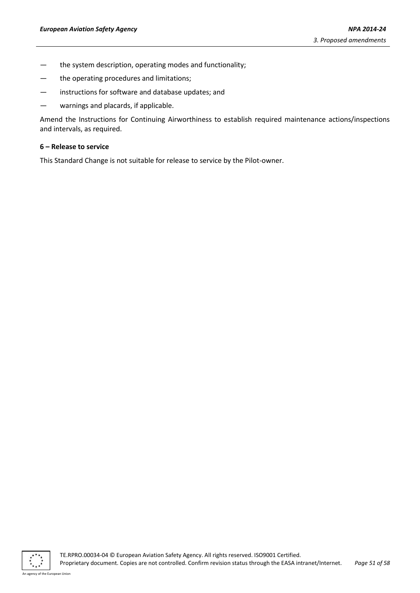- the system description, operating modes and functionality;
- the operating procedures and limitations;
- instructions for software and database updates; and
- warnings and placards, if applicable.

Amend the Instructions for Continuing Airworthiness to establish required maintenance actions/inspections and intervals, as required.

#### **6 – Release to service**

This Standard Change is not suitable for release to service by the Pilot-owner.



An agency of the European Union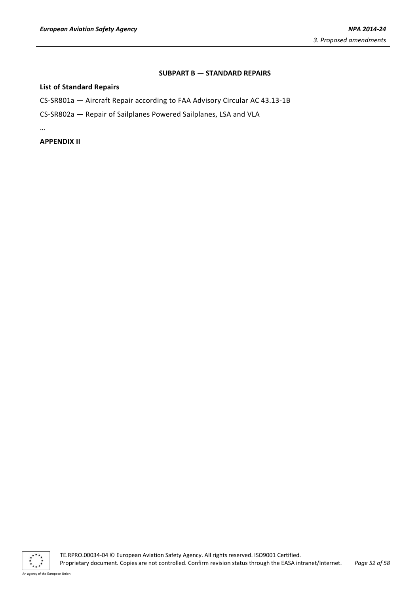#### **SUBPART B — STANDARD REPAIRS**

#### <span id="page-51-0"></span>**List of Standard Repairs**

CS-SR801a — Aircraft Repair according to FAA Advisory Circular AC 43.13-1B

CS-SR802a — Repair of Sailplanes Powered Sailplanes, LSA and VLA

…

#### **APPENDIX II**



TE.RPRO.00034-04 © European Aviation Safety Agency. All rights reserved. ISO9001 Certified. Proprietary document. Copies are not controlled. Confirm revision status through the EASA intranet/Internet. *Page 52 of 58*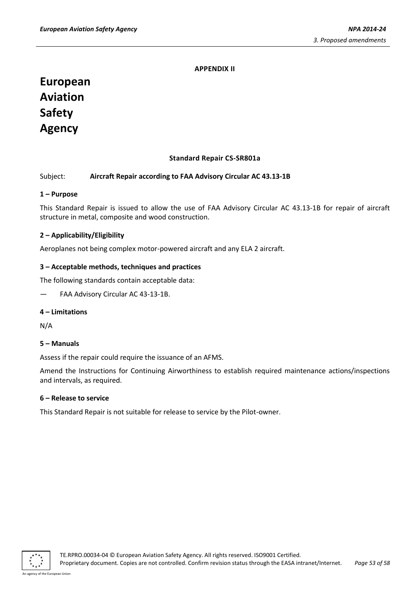#### **APPENDIX II**

# **European Aviation Safety Agency**

# **Standard Repair CS-SR801a**

#### Subject: **Aircraft Repair according to FAA Advisory Circular AC 43.13-1B**

#### **1 – Purpose**

This Standard Repair is issued to allow the use of FAA Advisory Circular AC 43.13-1B for repair of aircraft structure in metal, composite and wood construction.

#### **2 – Applicability/Eligibility**

Aeroplanes not being complex motor-powered aircraft and any ELA 2 aircraft.

#### **3 – Acceptable methods, techniques and practices**

The following standards contain acceptable data:

FAA Advisory Circular AC 43-13-1B.

#### **4 – Limitations**

N/A

#### **5 – Manuals**

Assess if the repair could require the issuance of an AFMS.

Amend the Instructions for Continuing Airworthiness to establish required maintenance actions/inspections and intervals, as required.

#### **6 – Release to service**

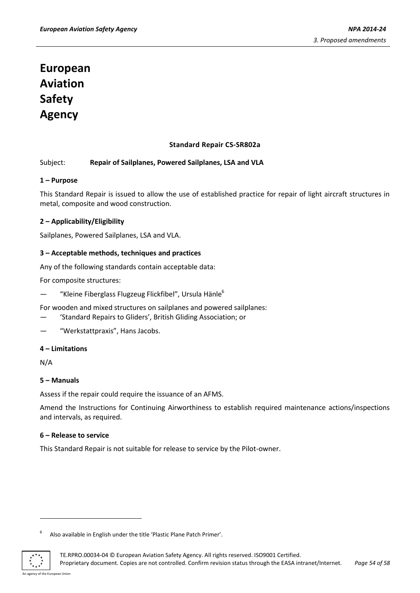# **Standard Repair CS-SR802a**

#### Subject: **Repair of Sailplanes, Powered Sailplanes, LSA and VLA**

#### **1 – Purpose**

This Standard Repair is issued to allow the use of established practice for repair of light aircraft structures in metal, composite and wood construction.

# **2 – Applicability/Eligibility**

Sailplanes, Powered Sailplanes, LSA and VLA.

#### **3 – Acceptable methods, techniques and practices**

Any of the following standards contain acceptable data:

For composite structures:

- "Kleine Fiberglass Flugzeug Flickfibel", Ursula Hänle<sup>6</sup>
- For wooden and mixed structures on sailplanes and powered sailplanes:
- 'Standard Repairs to Gliders', British Gliding Association; or
- "Werkstattpraxis", Hans Jacobs.

#### **4 – Limitations**

N/A

#### **5 – Manuals**

Assess if the repair could require the issuance of an AFMS.

Amend the Instructions for Continuing Airworthiness to establish required maintenance actions/inspections and intervals, as required.

#### **6 – Release to service**

This Standard Repair is not suitable for release to service by the Pilot-owner.

<sup>6</sup> Also available in English under the title 'Plastic Plane Patch Primer'.



-

An agency of the European Union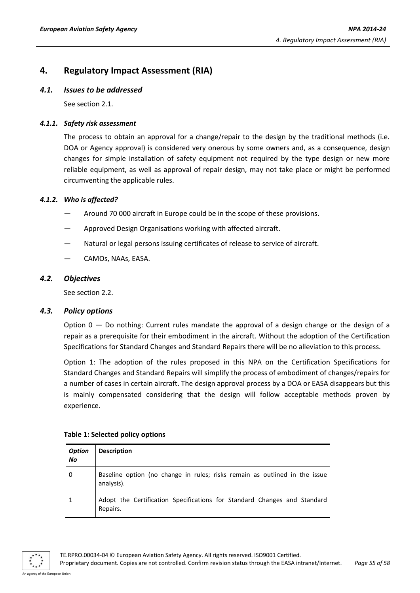# <span id="page-54-0"></span>**4. Regulatory Impact Assessment (RIA)**

# <span id="page-54-1"></span>*4.1. Issues to be addressed*

See section 2.1.

# <span id="page-54-2"></span>*4.1.1. Safety risk assessment*

The process to obtain an approval for a change/repair to the design by the traditional methods (i.e. DOA or Agency approval) is considered very onerous by some owners and, as a consequence, design changes for simple installation of safety equipment not required by the type design or new more reliable equipment, as well as approval of repair design, may not take place or might be performed circumventing the applicable rules.

# <span id="page-54-3"></span>*4.1.2. Who is affected?*

- Around 70 000 aircraft in Europe could be in the scope of these provisions.
- Approved Design Organisations working with affected aircraft.
- Natural or legal persons issuing certificates of release to service of aircraft.
- CAMOs, NAAs, EASA.

# <span id="page-54-4"></span>*4.2. Objectives*

See section 2.2.

# <span id="page-54-5"></span>*4.3. Policy options*

Option  $0 -$  Do nothing: Current rules mandate the approval of a design change or the design of a repair as a prerequisite for their embodiment in the aircraft. Without the adoption of the Certification Specifications for Standard Changes and Standard Repairs there will be no alleviation to this process.

Option 1: The adoption of the rules proposed in this NPA on the Certification Specifications for Standard Changes and Standard Repairs will simplify the process of embodiment of changes/repairs for a number of cases in certain aircraft. The design approval process by a DOA or EASA disappears but this is mainly compensated considering that the design will follow acceptable methods proven by experience.

| <b>Option</b><br>No | <b>Description</b>                                                                       |
|---------------------|------------------------------------------------------------------------------------------|
| 0                   | Baseline option (no change in rules; risks remain as outlined in the issue<br>analysis). |
|                     | Adopt the Certification Specifications for Standard Changes and Standard<br>Repairs.     |

#### **Table 1: Selected policy options**



TE.RPRO.00034-04 © European Aviation Safety Agency. All rights reserved. ISO9001 Certified. Proprietary document. Copies are not controlled. Confirm revision status through the EASA intranet/Internet. *Page 55 of 58*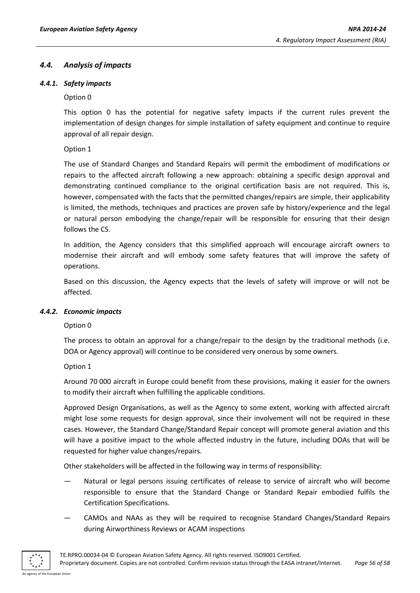# <span id="page-55-0"></span>*4.4. Analysis of impacts*

#### <span id="page-55-1"></span>*4.4.1. Safety impacts*

#### Option 0

This option 0 has the potential for negative safety impacts if the current rules prevent the implementation of design changes for simple installation of safety equipment and continue to require approval of all repair design.

#### Option 1

The use of Standard Changes and Standard Repairs will permit the embodiment of modifications or repairs to the affected aircraft following a new approach: obtaining a specific design approval and demonstrating continued compliance to the original certification basis are not required. This is, however, compensated with the facts that the permitted changes/repairs are simple, their applicability is limited, the methods, techniques and practices are proven safe by history/experience and the legal or natural person embodying the change/repair will be responsible for ensuring that their design follows the CS.

In addition, the Agency considers that this simplified approach will encourage aircraft owners to modernise their aircraft and will embody some safety features that will improve the safety of operations.

Based on this discussion, the Agency expects that the levels of safety will improve or will not be affected.

#### <span id="page-55-2"></span>*4.4.2. Economic impacts*

#### Option 0

The process to obtain an approval for a change/repair to the design by the traditional methods (i.e. DOA or Agency approval) will continue to be considered very onerous by some owners.

#### Option 1

Around 70 000 aircraft in Europe could benefit from these provisions, making it easier for the owners to modify their aircraft when fulfilling the applicable conditions.

Approved Design Organisations, as well as the Agency to some extent, working with affected aircraft might lose some requests for design approval, since their involvement will not be required in these cases. However, the Standard Change/Standard Repair concept will promote general aviation and this will have a positive impact to the whole affected industry in the future, including DOAs that will be requested for higher value changes/repairs.

Other stakeholders will be affected in the following way in terms of responsibility:

- Natural or legal persons issuing certificates of release to service of aircraft who will become responsible to ensure that the Standard Change or Standard Repair embodied fulfils the Certification Specifications.
- CAMOs and NAAs as they will be required to recognise Standard Changes/Standard Repairs during Airworthiness Reviews or ACAM inspections

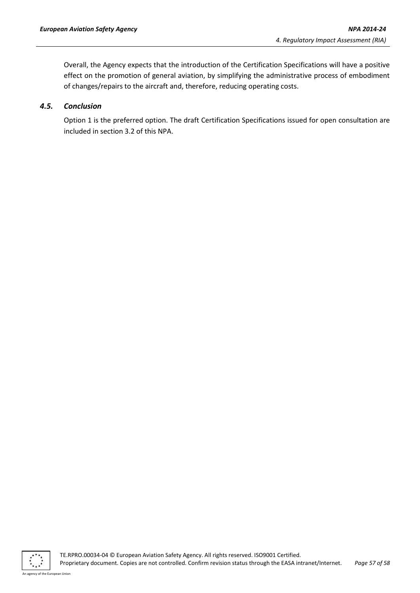Overall, the Agency expects that the introduction of the Certification Specifications will have a positive effect on the promotion of general aviation, by simplifying the administrative process of embodiment of changes/repairs to the aircraft and, therefore, reducing operating costs.

# <span id="page-56-0"></span>*4.5. Conclusion*

Option 1 is the preferred option. The draft Certification Specifications issued for open consultation are included in section 3.2 of this NPA.